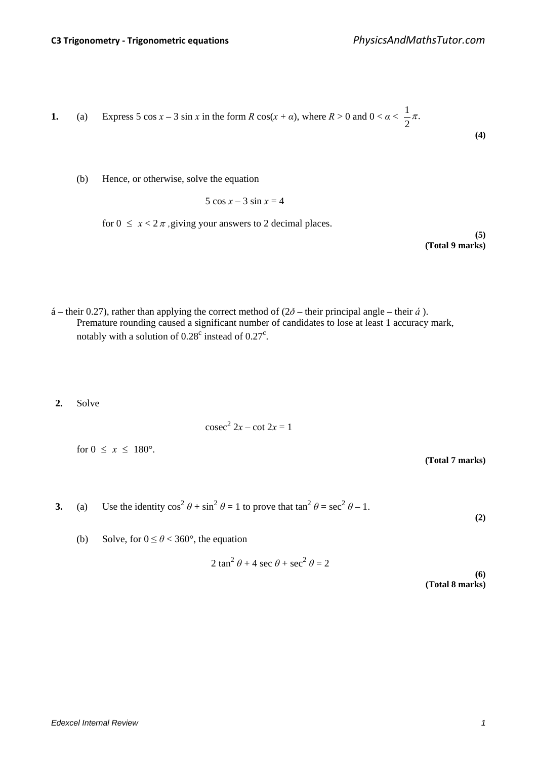1. (a) Express 
$$
5 \cos x - 3 \sin x
$$
 in the form  $R \cos(x + \alpha)$ , where  $R > 0$  and  $0 < \alpha < \frac{1}{2}\pi$ . (4)

(b) Hence, or otherwise, solve the equation

$$
5\cos x - 3\sin x = 4
$$

for  $0 \leq x < 2\pi$ , giving your answers to 2 decimal places.

**(5) (Total 9 marks)**

- á their 0.27), rather than applying the correct method of  $(2\delta$  their principal angle their *á*). Premature rounding caused a significant number of candidates to lose at least 1 accuracy mark, notably with a solution of  $0.28<sup>c</sup>$  instead of  $0.27<sup>c</sup>$ .
- **2.** Solve

$$
\csc^2 2x - \cot 2x = 1
$$

for  $0 \leq x \leq 180^{\circ}$ .

**(Total 7 marks)**

**3.** (a) Use the identity  $\cos^2 \theta + \sin^2 \theta = 1$  to prove that  $\tan^2 \theta = \sec^2 \theta - 1$ .

**(2)**

(b) Solve, for  $0 \le \theta < 360^{\circ}$ , the equation

$$
2\tan^2\theta + 4\sec\theta + \sec^2\theta = 2
$$

**(6) (Total 8 marks)**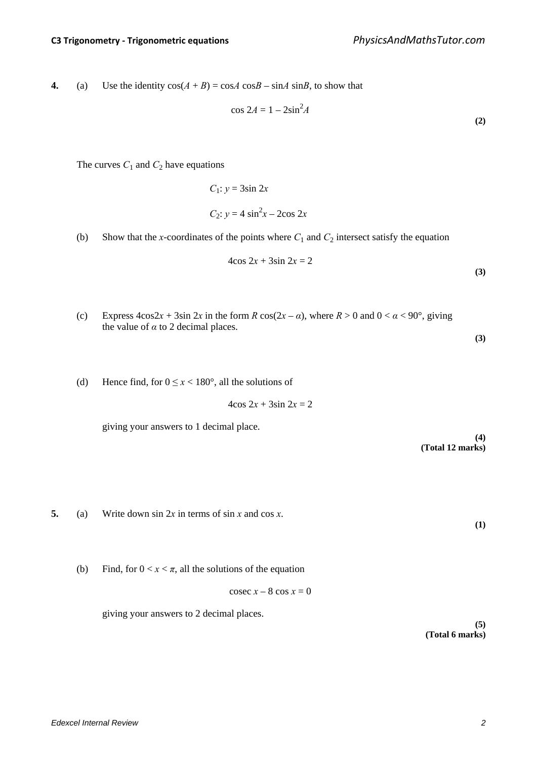**4.** (a) Use the identity  $cos(A + B) = cosA cosB - sinA sinB$ , to show that

$$
\cos 2A = 1 - 2\sin^2 A \tag{2}
$$

The curves  $C_1$  and  $C_2$  have equations

$$
C_1: y = 3\sin 2x
$$
  

$$
C_2: y = 4\sin^2 x - 2\cos 2x
$$

(b) Show that the *x*-coordinates of the points where  $C_1$  and  $C_2$  intersect satisfy the equation

$$
4\cos 2x + 3\sin 2x = 2\tag{3}
$$

(c) Express  $4\cos 2x + 3\sin 2x$  in the form  $R \cos(2x - \alpha)$ , where  $R > 0$  and  $0 < \alpha < 90^{\circ}$ , giving the value of  $\alpha$  to 2 decimal places.

**(3)**

**(1)**

(d) Hence find, for  $0 \le x < 180^\circ$ , all the solutions of

 $4\cos 2x + 3\sin 2x = 2$ 

giving your answers to 1 decimal place.

**(4) (Total 12 marks)**

- **5.** (a) Write down sin 2*x* in terms of sin *x* and cos *x*.
	- (b) Find, for  $0 < x < \pi$ , all the solutions of the equation

 $\csc x - 8 \cos x = 0$ 

giving your answers to 2 decimal places.

**(5) (Total 6 marks)**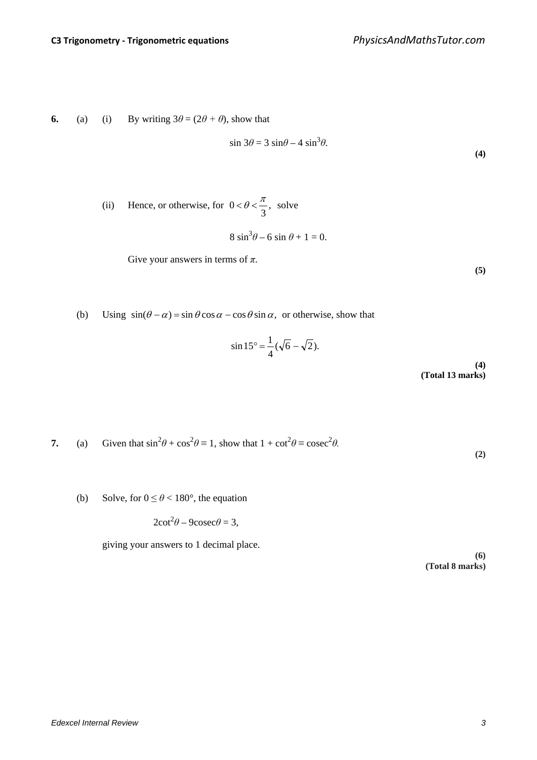**6.** (a) (i) By writing  $3\theta = (2\theta + \theta)$ , show that

$$
\sin 3\theta = 3 \sin \theta - 4 \sin^3 \theta.
$$

(ii) Hence, or otherwise, for  $0 < \theta < \frac{\pi}{2}$ , 3  $0 < \theta < \frac{\pi}{2}$ , solve

$$
8\sin^3\theta - 6\sin\theta + 1 = 0.
$$

Give your answers in terms of *π*.

**(5)**

**(4)**

(b) Using  $\sin(\theta - \alpha) = \sin \theta \cos \alpha - \cos \theta \sin \alpha$ , or otherwise, show that

$$
\sin 15^\circ = \frac{1}{4} (\sqrt{6} - \sqrt{2}).
$$
\n(4)

**(Total 13 marks)**

7. (a) Given that 
$$
\sin^2 \theta + \cos^2 \theta \equiv 1
$$
, show that  $1 + \cot^2 \theta \equiv \csc^2 \theta$ .

**(2)**

(b) Solve, for  $0 \le \theta < 180^{\circ}$ , the equation

$$
2\cot^2\theta - 9\csc\theta = 3,
$$

giving your answers to 1 decimal place.

**(6) (Total 8 marks)**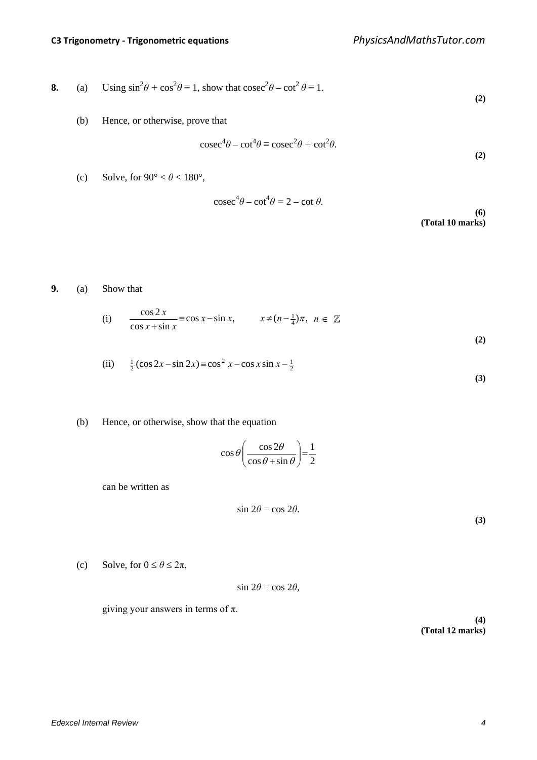8. (a) Using 
$$
\sin^2 \theta + \cos^2 \theta \equiv 1
$$
, show that  $\csc^2 \theta - \cot^2 \theta \equiv 1$ . (2)

(b) Hence, or otherwise, prove that

$$
\csc^4 \theta - \cot^4 \theta \equiv \csc^2 \theta + \cot^2 \theta. \tag{2}
$$

(c) Solve, for  $90^{\circ} < \theta < 180^{\circ}$ ,

$$
\csc^4 \theta - \cot^4 \theta = 2 - \cot \theta. \tag{6}
$$

**(Total 10 marks)**

**9.** (a) Show that

(i) 
$$
\frac{\cos 2x}{\cos x + \sin x} \equiv \cos x - \sin x, \qquad x \neq (n - \frac{1}{4})\pi, \quad n \in \mathbb{Z}
$$
 (2)

(ii) 
$$
\frac{1}{2}(\cos 2x - \sin 2x) \equiv \cos^2 x - \cos x \sin x - \frac{1}{2}
$$
 (3)

## (b) Hence, or otherwise, show that the equation

$$
\cos\theta \bigg(\frac{\cos 2\theta}{\cos\theta + \sin\theta}\bigg) = \frac{1}{2}
$$

can be written as

$$
\sin 2\theta = \cos 2\theta. \tag{3}
$$

(c) Solve, for  $0 \le \theta \le 2\pi$ ,

 $\sin 2\theta = \cos 2\theta$ ,

giving your answers in terms of  $\pi$ .

**(4) (Total 12 marks)**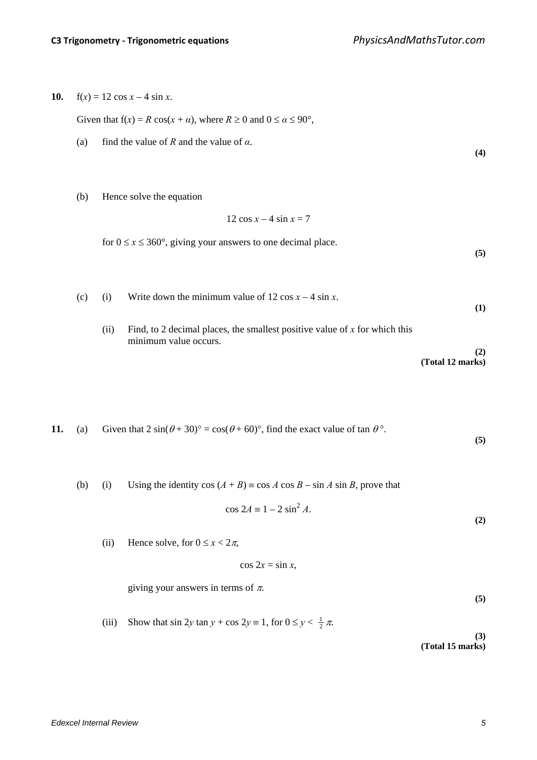**(4)**

**(5)**

**10.**  $f(x) = 12 \cos x - 4 \sin x$ .

Given that  $f(x) = R \cos(x + \alpha)$ , where  $R \ge 0$  and  $0 \le \alpha \le 90^{\circ}$ ,

(a) find the value of *R* and the value of  $\alpha$ .

(b) Hence solve the equation

$$
12\cos x - 4\sin x = 7
$$

for  $0 \le x \le 360^{\circ}$ , giving your answers to one decimal place.

(c) (i) Write down the minimum value of  $12 \cos x - 4 \sin x$ . **(1)** (ii) Find, to 2 decimal places, the smallest positive value of *x* for which this minimum value occurs. **(2) (Total 12 marks)**

```
11. (a) Given that 2 \sin(\theta + 30)^\circ = \cos(\theta + 60)^\circ, find the exact value of tan \theta^\circ.
                                                                                                                                              (5)
```
(b) (i) Using the identity  $\cos (A + B) \equiv \cos A \cos B - \sin A \sin B$ , prove that

$$
\cos 2A \equiv 1 - 2 \sin^2 A.
$$

(ii) Hence solve, for  $0 \le x < 2\pi$ ,

$$
\cos 2x = \sin x,
$$

giving your answers in terms of  $\pi$ .

**(5)**

**(2)**

(iii) Show that  $\sin 2y \tan y + \cos 2y = 1$ , for  $0 \le y < \frac{1}{2} \pi$ .

**(3) (Total 15 marks)**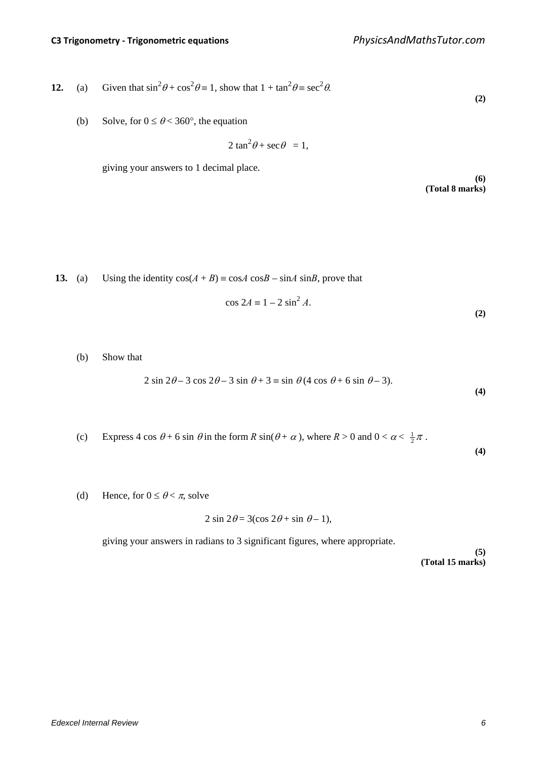12. (a) Given that 
$$
\sin^2 \theta + \cos^2 \theta = 1
$$
, show that  $1 + \tan^2 \theta = \sec^2 \theta$ . (2)

(b) Solve, for  $0 \le \theta < 360^{\circ}$ , the equation

$$
2\tan^2\theta + \sec\theta = 1,
$$

giving your answers to 1 decimal place.

**(6) (Total 8 marks)**

**13.** (a) Using the identity  $cos(A + B) = cosA cosB - sinA sinB$ , prove that

$$
\cos 2A \equiv 1 - 2\sin^2 A. \tag{2}
$$

(b) Show that

$$
2\sin 2\theta - 3\cos 2\theta - 3\sin \theta + 3 \equiv \sin \theta (4\cos \theta + 6\sin \theta - 3). \tag{4}
$$

(c) Express 4 cos 
$$
\theta
$$
 + 6 sin  $\theta$  in the form R sin( $\theta$  +  $\alpha$ ), where R > 0 and 0 <  $\alpha$  <  $\frac{1}{2}\pi$ .

**(4)**

(d) Hence, for  $0 \le \theta < \pi$ , solve

$$
2\sin 2\theta = 3(\cos 2\theta + \sin \theta - 1),
$$

giving your answers in radians to 3 significant figures, where appropriate.

**(5) (Total 15 marks)**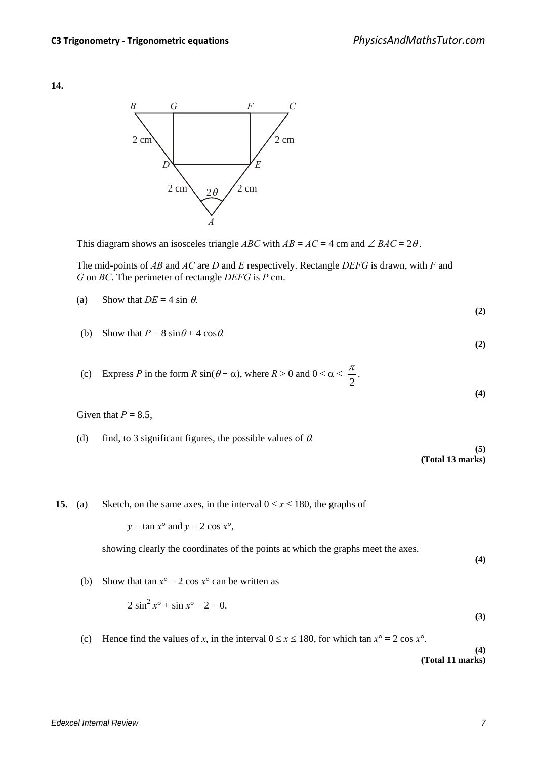**14.**



This diagram shows an isosceles triangle *ABC* with  $AB = AC = 4$  cm and  $\angle BAC = 2\theta$ .

The mid-points of *AB* and *AC* are *D* and *E* respectively. Rectangle *DEFG* is drawn, with *F* and *G* on *BC*. The perimeter of rectangle *DEFG* is *P* cm.

- (a) Show that  $DE = 4 \sin \theta$ . **(2)**
- (b) Show that  $P = 8 \sin \theta + 4 \cos \theta$ .
- (c) Express *P* in the form  $R \sin(\theta + \alpha)$ , where  $R > 0$  and  $0 < \alpha < \alpha$ 2  $\frac{\pi}{2}$ .

Given that  $P = 8.5$ ,

(d) find, to 3 significant figures, the possible values of θ*.*

**(5) (Total 13 marks)**

**15.** (a) Sketch, on the same axes, in the interval  $0 \le x \le 180$ , the graphs of

 $y = \tan x^\circ$  and  $y = 2 \cos x^\circ$ ,

showing clearly the coordinates of the points at which the graphs meet the axes.

**(4)**

**(2)**

**(4)**

(b) Show that tan  $x^\circ = 2 \cos x^\circ$  can be written as

$$
2\sin^2 x^\circ + \sin x^\circ - 2 = 0. \tag{3}
$$

(c) Hence find the values of *x*, in the interval  $0 \le x \le 180$ , for which tan  $x^{\circ} = 2 \cos x^{\circ}$ .

**(4) (Total 11 marks)**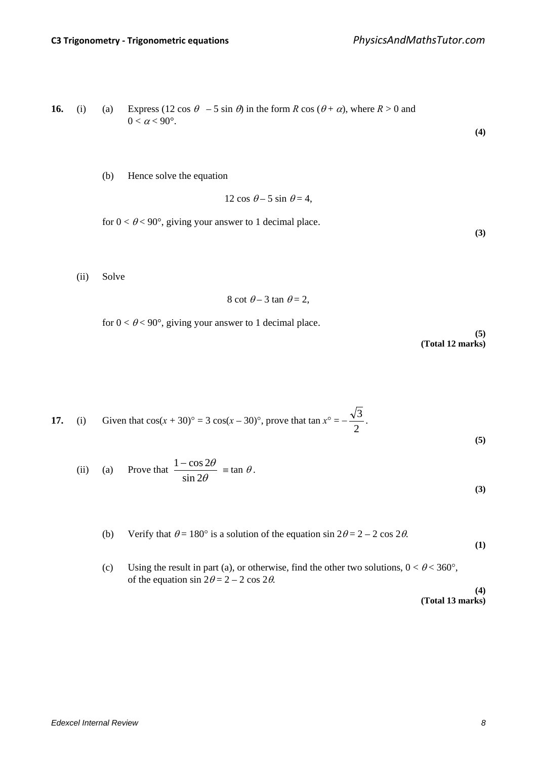**16.** (i) (a) Express 
$$
(12 \cos \theta - 5 \sin \theta)
$$
 in the form  $R \cos (\theta + \alpha)$ , where  $R > 0$  and  $0 < \alpha < 90^\circ$ .

(b) Hence solve the equation

$$
12\cos\theta - 5\sin\theta = 4,
$$

for  $0 < \theta < 90^{\circ}$ , giving your answer to 1 decimal place.

(ii) Solve

$$
8 \cot \theta - 3 \tan \theta = 2,
$$

for  $0 < \theta < 90^{\circ}$ , giving your answer to 1 decimal place.

**(5) (Total 12 marks)**

**(4)**

**(3)**

17. (i) Given that 
$$
\cos(x + 30)^\circ = 3 \cos(x - 30)^\circ
$$
, prove that  $\tan x^\circ = -\frac{\sqrt{3}}{2}$ . (5)

(ii) (a) Prove that 
$$
\frac{1 - \cos 2\theta}{\sin 2\theta} = \tan \theta.
$$
 (3)

(b) Verify that  $\theta = 180^\circ$  is a solution of the equation sin  $2\theta = 2 - 2 \cos 2\theta$ .

**(1)**

(c) Using the result in part (a), or otherwise, find the other two solutions,  $0 < \theta < 360^{\circ}$ , of the equation  $\sin 2\theta = 2 - 2 \cos 2\theta$ . **(4)**

**(Total 13 marks)**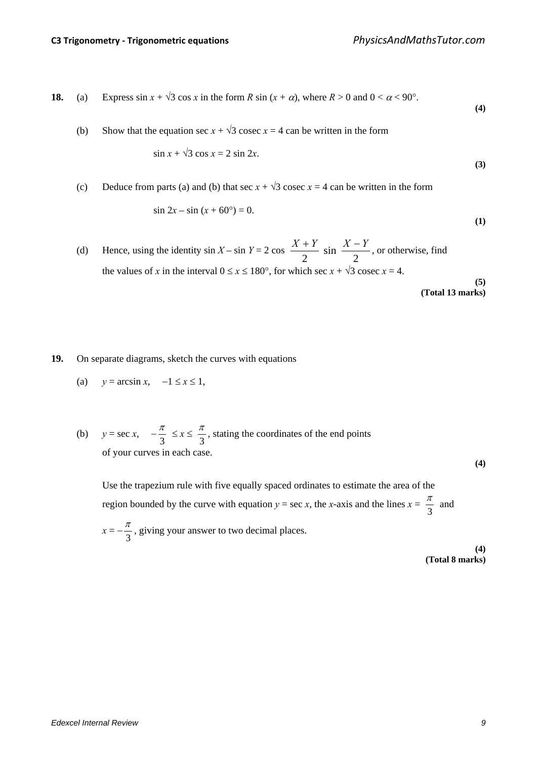**18.** (a) Express 
$$
\sin x + \sqrt{3} \cos x
$$
 in the form  $R \sin (x + \alpha)$ , where  $R > 0$  and  $0 < \alpha < 90^{\circ}$ .

(b) Show that the equation sec  $x + \sqrt{3}$  cosec  $x = 4$  can be written in the form

$$
\sin x + \sqrt{3} \cos x = 2 \sin 2x. \tag{3}
$$

(c) Deduce from parts (a) and (b) that sec  $x + \sqrt{3}$  cosec  $x = 4$  can be written in the form

$$
\sin 2x - \sin (x + 60^\circ) = 0. \tag{1}
$$

(d) Hence, using the identity  $\sin X - \sin Y = 2 \cos X$ 2 sin 2  $\frac{X+Y}{Y}$  sin  $\frac{X-Y}{Y}$ , or otherwise, find the values of *x* in the interval  $0 \le x \le 180^\circ$ , for which sec  $x + \sqrt{3}$  cosec  $x = 4$ . **(5) (Total 13 marks)**

**(4)**

- **19.** On separate diagrams, sketch the curves with equations
	- (a)  $y = \arcsin x$ ,  $-1 \le x \le 1$ ,
	- (b)  $y = \sec x, \quad -\frac{\pi}{3} \le x \le \frac{\pi}{3}$ 3  $\frac{\pi}{2}$ , stating the coordinates of the end points of your curves in each case.

**(4)**

Use the trapezium rule with five equally spaced ordinates to estimate the area of the region bounded by the curve with equation  $y = \sec x$ , the *x*-axis and the lines  $x = \frac{\pi}{3}$  and  $x = -\frac{\pi}{3}$ , giving your answer to two decimal places.

> **(4) (Total 8 marks)**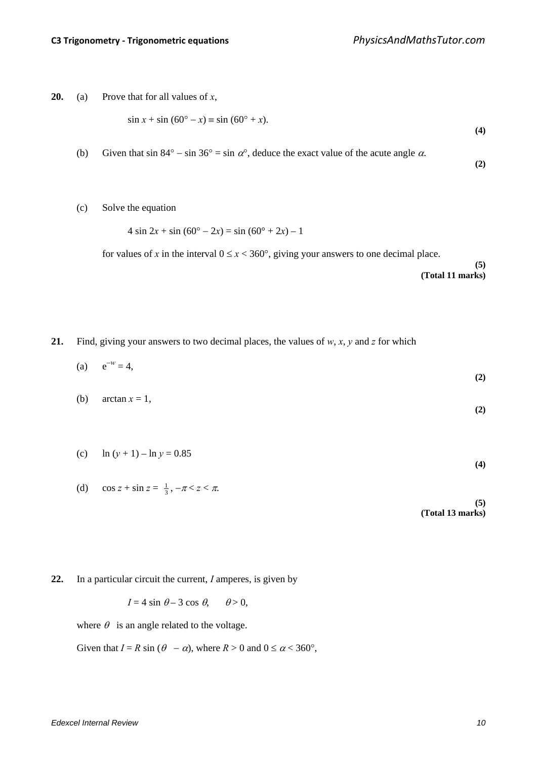**(2)**

**20.** (a) Prove that for all values of *x*,

$$
\sin x + \sin (60^\circ - x) \equiv \sin (60^\circ + x). \tag{4}
$$

- (b) Given that sin 84° sin 36° = sin  $\alpha$ °, deduce the exact value of the acute angle  $\alpha$ .
- (c) Solve the equation

 $4 \sin 2x + \sin (60^\circ - 2x) = \sin (60^\circ + 2x) - 1$ 

for values of *x* in the interval  $0 \le x < 360^{\circ}$ , giving your answers to one decimal place. **(5) (Total 11 marks)**

**21.** Find, giving your answers to two decimal places, the values of *w*, *x*, *y* and *z* for which

|     | (a) $e^{-w} = 4$ , | (2) |
|-----|--------------------|-----|
| (b) | $arctan x = 1$ ,   |     |

$$
\left( 2\right)
$$

- (c)  $\ln (y + 1) \ln y = 0.85$ **(4)**
- (d)  $\cos z + \sin z = \frac{1}{3}, -\pi < z < \pi.$ **(5) (Total 13 marks)**
- **22.** In a particular circuit the current, *I* amperes, is given by

 $I = 4 \sin \theta - 3 \cos \theta$ ,  $\theta > 0$ ,

where  $\theta$  is an angle related to the voltage.

Given that  $I = R \sin (\theta - \alpha)$ , where  $R > 0$  and  $0 \le \alpha < 360^{\circ}$ ,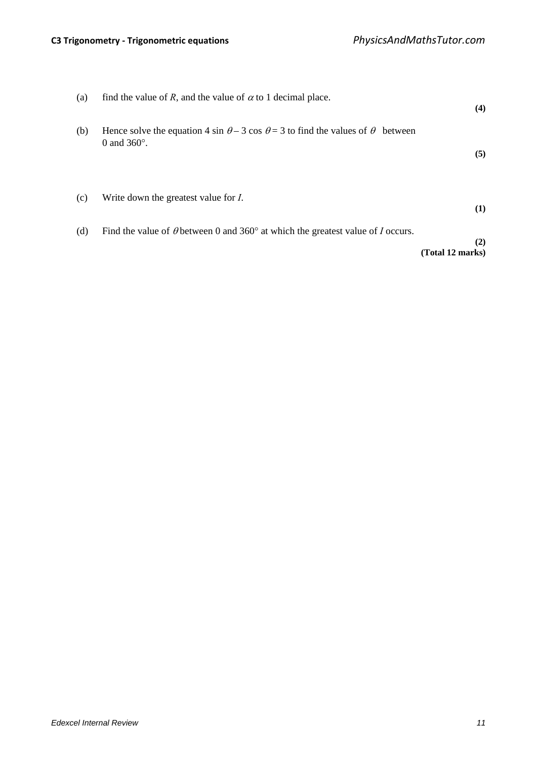| (b) | Hence solve the equation 4 sin $\theta$ – 3 cos $\theta$ = 3 to find the values of $\theta$ between | (4)                     |
|-----|-----------------------------------------------------------------------------------------------------|-------------------------|
|     | 0 and $360^\circ$ .                                                                                 | (5)                     |
| (c) | Write down the greatest value for <i>I</i> .                                                        | (1)                     |
| (d) | Find the value of $\theta$ between 0 and 360 $^{\circ}$ at which the greatest value of I occurs.    | (2)<br>(Total 12 marks) |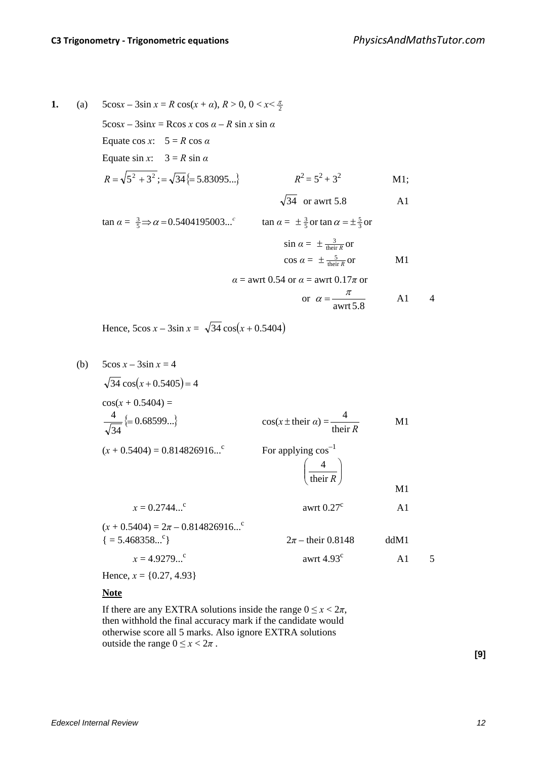**1.** (a)  $5\cos x - 3\sin x = R \cos(x + \alpha), R > 0, 0 < x < \frac{\pi}{2}$  $5\cos x - 3\sin x = R\cos x \cos \alpha - R \sin x \sin \alpha$ Equate cos *x*:  $5 = R \cos \alpha$ Equate sin *x*:  $3 = R \sin \alpha$  $R = \sqrt{5^2 + 3^2}$ ;  $= \sqrt{34}$ { $= 5.83095...$ }<br> $R^2 = 5^2 + 3^2$  M1;  $\sqrt{34}$  or awrt 5.8 A1  $\tan \alpha = \frac{3}{5} \Rightarrow \alpha = 0.5404195003...^c$   $\tan \alpha = \pm \frac{3}{5}$  or  $\tan \alpha = \pm \frac{5}{3}$  or  $\sin \alpha = \pm \frac{3}{\text{their } R}$  or  $\cos \alpha = \pm \frac{5}{\text{their } R} \text{or}$  M1 *α* = awrt 0.54 or *α* = awrt 0.17*π* or or awrt 5.8  $\alpha = \frac{\pi}{\sqrt{2}}$  A1 4

Hence,  $5\cos x - 3\sin x = \sqrt{34} \cos(x + 0.5404)$ 

(b) 
$$
5\cos x - 3\sin x = 4
$$
  
\n $\sqrt{34} \cos(x + 0.5404) =$   
\n $\frac{4}{\sqrt{34}} \{= 0.68599...\}$   
\n $(x + 0.5404) = 0.814826916...\$   
\n $(x + 0.5404) = 0.814826916...\$   
\n $\frac{4}{\sqrt{100}}\$   
\nFor applying  $\cos^{-1}$   
\n $\left(\frac{4}{\sqrt{100}}\right)$   
\n $x = 0.2744...\$   
\n $(x + 0.5404) = 2\pi - 0.814826916...\$   
\n $\{= 5.468358...\$   
\n $x = 4.9279...\$   
\n $x = 4.9279...\$   
\nHence,  $x = \{0.27, 4.93\}$   
\n $x = 2.7, 4.93$   
\n $x = 4.927, 4.93$   
\n $x = 4.927, 4.93$   
\n $x = 4.927, 4.93$   
\n $x = 4.927, 4.93$   
\n $x = 4.927, 4.93$   
\n $x = 4.927, 4.93$   
\n $x = 4.927, 4.93$   
\n $x = 4.927, 4.93$ 

## **Note**

If there are any EXTRA solutions inside the range  $0 \le x < 2\pi$ , then withhold the final accuracy mark if the candidate would otherwise score all 5 marks. Also ignore EXTRA solutions outside the range  $0 \le x < 2\pi$ .

**[9]**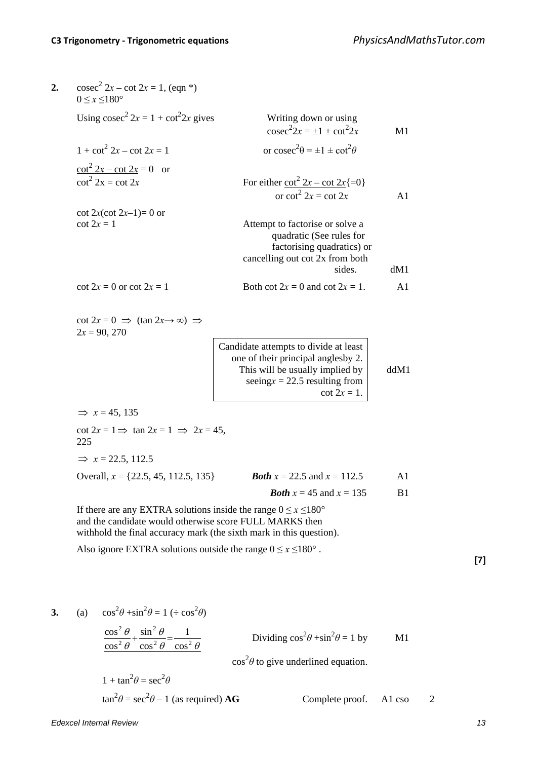| Using $\csc^2 2x = 1 + \cot^2 2x$ gives<br>Writing down or using<br>$\csc^2 2x = \pm 1 \pm \cot^2 2x$                                                                | M1   |
|----------------------------------------------------------------------------------------------------------------------------------------------------------------------|------|
| or $\csc^2\theta = \pm 1 \pm \cot^2\theta$                                                                                                                           |      |
| For either $\frac{\cot^2 2x - \cot 2x}{\cot^2 2x}$ = cot 2x                                                                                                          | A1   |
| Attempt to factorise or solve a<br>quadratic (See rules for<br>factorising quadratics) or<br>cancelling out cot 2x from both<br>sides.                               | dM1  |
| Both cot $2x = 0$ and cot $2x = 1$ .                                                                                                                                 | A1   |
| Candidate attempts to divide at least<br>one of their principal anglesby 2.<br>This will be usually implied by<br>seeing $x = 22.5$ resulting from<br>$\cot 2x = 1.$ | ddM1 |
|                                                                                                                                                                      |      |
| $\cot 2x = 1 \implies \tan 2x = 1 \implies 2x = 45,$                                                                                                                 |      |
|                                                                                                                                                                      |      |
| <b><i>Both</i></b> $x = 22.5$ and $x = 112.5$<br>Overall, $x = \{22.5, 45, 112.5, 135\}$                                                                             | A1   |
| <b><i>Both</i></b> $x = 45$ and $x = 135$                                                                                                                            | B1   |
| If there are any EXTRA solutions inside the range $0 \le x \le 180^{\circ}$<br>and the candidate would otherwise score FULL MARKS then                               |      |
|                                                                                                                                                                      |      |

3. (a) 
$$
\cos^2 \theta + \sin^2 \theta = 1 \div \cos^2 \theta
$$
  
\n
$$
\frac{\cos^2 \theta}{\cos^2 \theta} + \frac{\sin^2 \theta}{\cos^2 \theta} = \frac{1}{\cos^2 \theta}
$$
\nDividing  $\cos^2 \theta + \sin^2 \theta = 1$  by M1  
\n $\cos^2 \theta$  to give underlined equation.  
\n $1 + \tan^2 \theta = \sec^2 \theta$ 

$$
\tan^2 \theta = \sec^2 \theta - 1
$$
 (as required) **AG** Complete proof. A1 cos 2

*Edexcel Internal Review 13*

**[7]**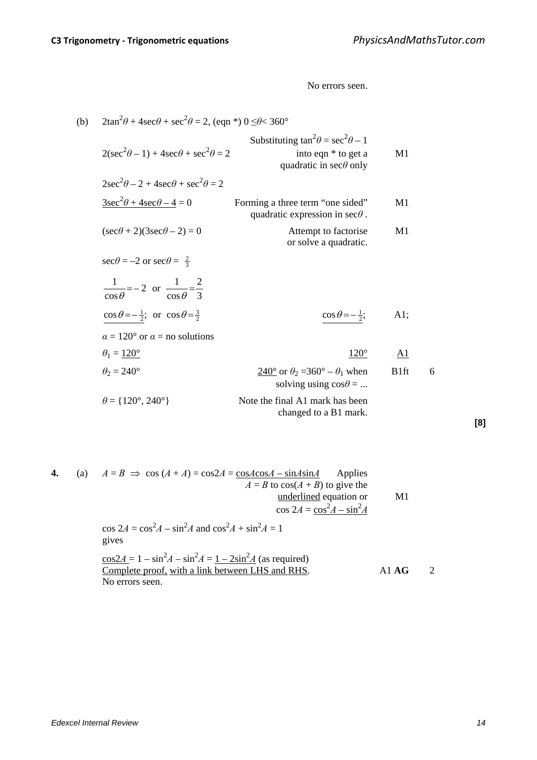No errors seen.

| (b) | $2\tan^2\theta + 4\sec\theta + \sec^2\theta = 2$ , (eqn *) $0 \le \theta < 360^\circ$ |                                                                                                         |                  |   |  |
|-----|---------------------------------------------------------------------------------------|---------------------------------------------------------------------------------------------------------|------------------|---|--|
|     | $2(\sec^2 \theta - 1) + 4\sec \theta + \sec^2 \theta = 2$                             | Substituting $\tan^2\theta = \sec^2\theta - 1$<br>into eqn * to get a<br>quadratic in $\sec\theta$ only | M1               |   |  |
|     | $2\sec^2\theta - 2 + 4\sec\theta + \sec^2\theta = 2$                                  |                                                                                                         |                  |   |  |
|     | $\frac{3\sec^2\theta + 4\sec\theta - 4}{2} = 0$                                       | Forming a three term "one sided"<br>quadratic expression in $\sec\theta$ .                              | M1               |   |  |
|     | $(\sec\theta + 2)(3\sec\theta - 2) = 0$                                               | Attempt to factorise<br>or solve a quadratic.                                                           | M <sub>1</sub>   |   |  |
|     | $\sec\theta = -2$ or $\sec\theta = \frac{2}{3}$                                       |                                                                                                         |                  |   |  |
|     | $\frac{1}{\cos \theta} = -2$ or $\frac{1}{\cos \theta} = \frac{2}{3}$                 |                                                                                                         |                  |   |  |
|     | $\cos\theta = -\frac{1}{2}$ ; or $\cos\theta = \frac{3}{2}$                           | $\cos\theta = -\frac{1}{2};$                                                                            | A1;              |   |  |
|     | $\alpha = 120^{\circ}$ or $\alpha =$ no solutions                                     |                                                                                                         |                  |   |  |
|     | $\theta_1 = 120^\circ$                                                                | $120^\circ$                                                                                             | <u>A1</u>        |   |  |
|     | $\theta_2 = 240^\circ$                                                                | $\frac{240^{\circ}}{2}$ or $\theta_2 = 360^{\circ} - \theta_1$ when<br>solving using $\cos\theta = $    | B <sub>1ft</sub> | 6 |  |
|     | $\theta = \{120^\circ, 240^\circ\}$                                                   | Note the final A1 mark has been<br>changed to a B1 mark.                                                |                  |   |  |
|     |                                                                                       |                                                                                                         |                  |   |  |

**4.** (a)  $A = B \implies \cos(A + A) = \cos 2A = \frac{\cos A \cos A - \sin A \sin A}{A}$  Applies  $A = B$  to  $cos(A + B)$  to give the underlined equation or M1  $\cos 2A = \frac{\cos^2 A - \sin^2 A}{A}$  $\cos 2A = \cos^2 A - \sin^2 A$  and  $\cos^2 A + \sin^2 A = 1$ gives  $\frac{\cos 2A}{A} = 1 - \sin^2 A - \sin^2 A = \frac{1 - 2\sin^2 A}{A}$  (as required) Complete proof, with a link between LHS and RHS. A1 **AG** 2

No errors seen.

**[8]**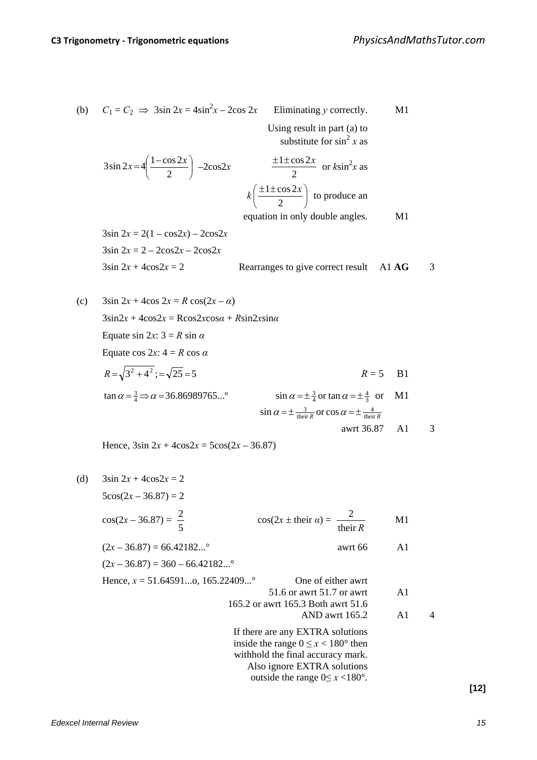(b) 
$$
C_1 = C_2 \implies 3\sin 2x = 4\sin^2 x - 2\cos 2x
$$
 Eliminating y correctly. M1

 Using result in part (a) to substitute for  $\sin^2 x$  as

$$
3\sin 2x = 4\left(\frac{1-\cos 2x}{2}\right) - 2\cos 2x \qquad \frac{\pm 1 \pm \cos 2x}{2} \text{ or } k\sin^2 x \text{ as}
$$

$$
k\left(\frac{\pm 1 \pm \cos 2x}{2}\right) \text{ to produce an}
$$

equation in only double angles. M1

 $3\sin 2x = 2(1 - \cos 2x) - 2\cos 2x$  $3\sin 2x = 2 - 2\cos 2x - 2\cos 2x$ 

$$
3\sin 2x + 4\cos 2x = 2
$$
\nRearranges to give correct result

\n
$$
A1 \text{ AG}
$$
\n
$$
3
$$

(c) 
$$
3\sin 2x + 4\cos 2x = R \cos(2x - \alpha)
$$
  
\n $3\sin 2x + 4\cos 2x = R \cos 2x \cos \alpha + R \sin 2x \sin \alpha$   
\nEquate sin 2x:  $3 = R \sin \alpha$   
\nEquate cos 2x:  $4 = R \cos \alpha$   
\n $R = \sqrt{3^2 + 4^2} = \sqrt{25} = 5$   
\n $\tan \alpha = \frac{3}{4} \Rightarrow \alpha = 36.86989765...^{\circ}$   
\n $\sin \alpha = \pm \frac{3}{4} \text{ or } \tan \alpha = \pm \frac{4}{3} \text{ or } \ln 1$   
\n $\sin \alpha = \pm \frac{3}{\text{their } R} \text{ or } \cos \alpha = \pm \frac{4}{\text{their } R}$   
\n $\text{awrt } 36.87 \quad \text{A1} \quad 3$ 

Hence,  $3\sin 2x + 4\cos 2x = 5\cos(2x - 36.87)$ 

(d) 
$$
3\sin 2x + 4\cos 2x = 2
$$
  
\n $5\cos(2x - 36.87) = 2$   
\n $\cos(2x - 36.87) = \frac{2}{5}$   $\cos(2x \pm \text{ their } a) = \frac{2}{\text{their } R}$  M1  
\n $(2x - 36.87) = 66.42182...$  awrt 66 A1  
\n $(2x - 36.87) = 360 - 66.42182...$  One of either awrt  
\n $51.6$  or awrt 51.7 or awrt A1  
\n165.2 or awrt 165.3 Both awrt 51.6  
\nAND awrt 165.2 A1  
\nIf there are any EXTRA solutions  
\ninside the range  $0 \le x < 180^\circ$  then  
\nwithhold the final accuracy mark.  
\nAlso ignore EXTRA solutions  
\noutside the range  $0 \le x < 180^\circ$ .

**[12]**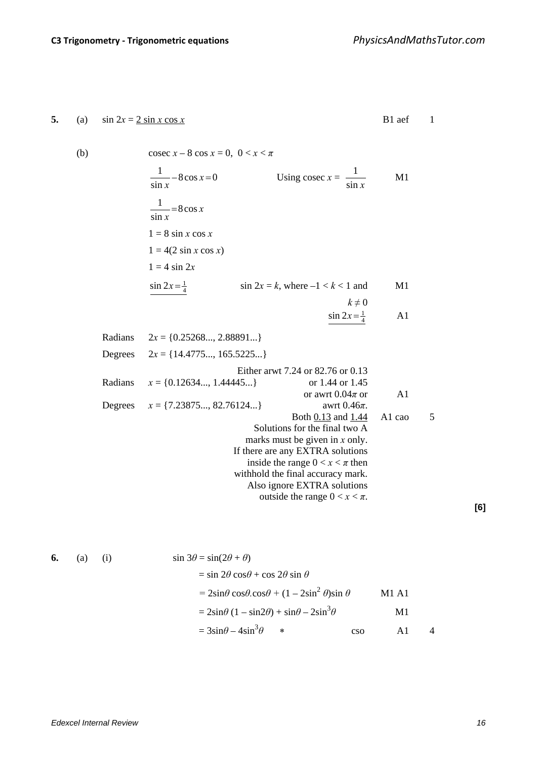5. (a) 
$$
\sin 2x = 2 \sin x \cos x
$$
  
\n(b)  $\csc x - 8 \cos x = 0, 0 < x < \pi$   
\n $\frac{1}{\sin x} - 8 \cos x = 0$   
\n $\frac{1}{\sin x} = 8 \cos x$   
\n $1 = 8 \sin x \cos x$   
\n $1 = 4 (2 \sin x \cos x)$   
\n $1 = 4 \sin 2x$   
\n $\frac{\sin 2x = \frac{1}{4}}{x}$   
\n $2x = \{0.25268...\, 2.88891...\}$   
\nDegrees  $2x = \{14.4775...\, 165.5225...\}$   
\n $\frac{1}{2} = \{(0.25268...\, 2.88891...\}\)$   
\n $2x = \{(1.12634...\, 1.44445...\}\)$   
\n $x = \{(0.12634...\, 1.44445...\}\)$   
\n $x = \{(7.23875...\, 82.76124...\}\)$   
\n $\begin{array}{c}\n\text{Exther arwt 7.24 or 82.76 or 0.13} \\
\text{or arwt 0.04}\pi \text{ or } \text{0.46}\pi \\
\text{or awt 0.04}\pi \text{ or } \text{0.46}\pi \\
\text{Both 0.13 and 1.44} \text{ Al cao} \text{5} \\
\text{Solutions for the final two A}\pi \text{ and } \text{0.46}\pi \\
\text{In the area any EXTRA solutions} \\
\text{in side the range 0} < x < \pi\n\end{array}$   
\n $\text{ExTRA solutions} \\
\text{in the frame } \text{c} \times x \text{ at the point of } \pi.\text{c. } \text{d} \text{c. } \text{d} \text{d. } \text{d} \text{d. } \text{d} \text{d. } \text{e. } \text{f. } \text{f. } \text{f. } \text{f. } \text{f. } \text{f. } \text{g. } \text{g. } \text{g. } \text{g. } \text{g. } \text{g. } \text{g. } \text{g. } \text{g. }$ 

6. (a) (i) 
$$
\sin 3\theta = \sin(2\theta + \theta)
$$

$$
= \sin 2\theta \cos\theta + \cos 2\theta \sin \theta
$$

$$
= 2\sin\theta \cos\theta \cos\theta + (1 - 2\sin^2 \theta)\sin \theta
$$
 M1 A1
$$
= 2\sin\theta (1 - \sin 2\theta) + \sin\theta - 2\sin^3 \theta
$$
M1
$$
= 3\sin\theta - 4\sin^3 \theta
$$
 so A1 4

**[6]**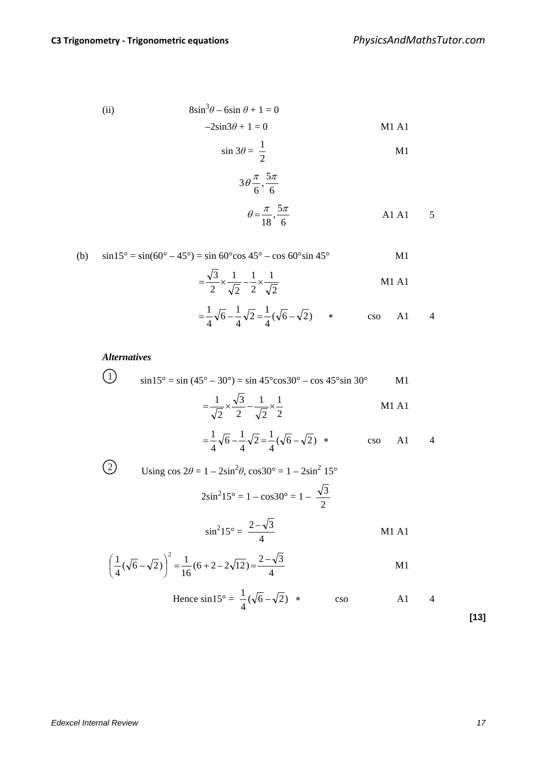(ii) 
$$
8\sin^3\theta - 6\sin\theta + 1 = 0
$$

$$
-2\sin 3\theta + 1 = 0
$$
 M1 A1

$$
\sin 3\theta = \frac{1}{2}
$$

$$
3\theta \frac{\pi}{6}, \frac{5\pi}{6}
$$
  

$$
\theta = \frac{\pi}{18}, \frac{5\pi}{6}
$$
 A1 A1 5

(b) 
$$
\sin 15^\circ = \sin(60^\circ - 45^\circ) = \sin 60^\circ \cos 45^\circ - \cos 60^\circ \sin 45^\circ
$$
 M1  

$$
= \frac{\sqrt{3}}{2} \times \frac{1}{\sqrt{2}} - \frac{1}{2} \times \frac{1}{\sqrt{2}}
$$
 M1 A1

$$
=\frac{1}{4}\sqrt{6}-\frac{1}{4}\sqrt{2}=\frac{1}{4}(\sqrt{6}-\sqrt{2})
$$
 \* cos A1 4

**Alternatively**

\n(1) 
$$
\sin 15^\circ = \sin (45^\circ - 30^\circ) = \sin 45^\circ \cos 30^\circ - \cos 45^\circ \sin 30^\circ
$$
 **M1**

\n
$$
= \frac{1}{\sqrt{2}} \times \frac{\sqrt{3}}{2} - \frac{1}{\sqrt{2}} \times \frac{1}{2}
$$
 **M1 A1**

\n
$$
= \frac{1}{4} \sqrt{6} - \frac{1}{4} \sqrt{2} = \frac{1}{4} (\sqrt{6} - \sqrt{2}) \times \cos 41
$$
 **M1 A1**

\n
$$
= \frac{1}{4} \sqrt{6} - \frac{1}{4} \sqrt{2} = \frac{1}{4} (\sqrt{6} - \sqrt{2}) \times \cos 41
$$
 **M1 A1**

\n
$$
= \frac{2 \sin^2 15^\circ}{2} = 1 - \cos 30^\circ = 1 - \frac{\sqrt{3}}{2}
$$
 **M1 A1**

\n
$$
\left(\frac{1}{4} (\sqrt{6} - \sqrt{2})\right)^2 = \frac{1}{16} (6 + 2 - 2\sqrt{12}) = \frac{2 - \sqrt{3}}{4}
$$
 **M1 A1**

\n
$$
1 = \frac{1}{4} \cos 30^\circ = \frac{1}{4} \cos 30^\circ
$$
 **M1 A1**

Hence 
$$
\sin 15^\circ = \frac{1}{4}(\sqrt{6}-\sqrt{2})
$$
 \*  $\csc$  A1 4

**[13]**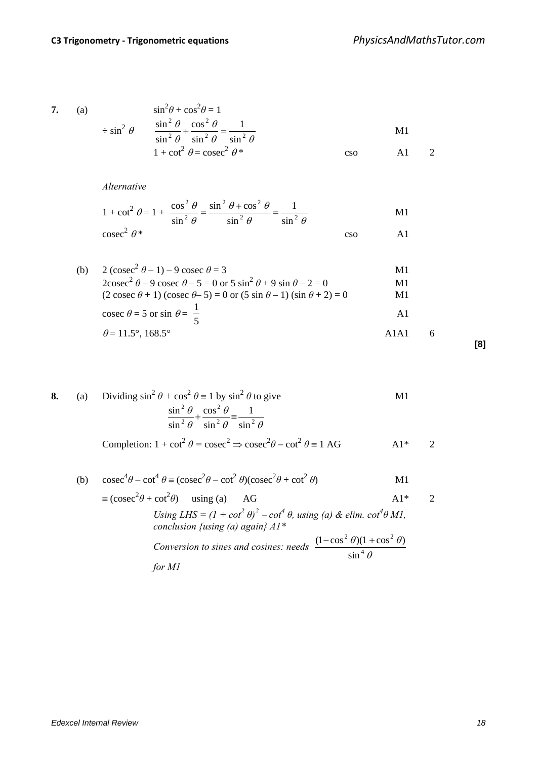7. (a)  
\n
$$
\sin^2 \theta + \cos^2 \theta = 1
$$
\n
$$
\sin^2 \theta + \frac{\sin^2 \theta}{\sin^2 \theta} + \frac{\cos^2 \theta}{\sin^2 \theta} = \frac{1}{\sin^2 \theta}
$$
\n
$$
1 + \cot^2 \theta = \csc^2 \theta^*
$$
\n
$$
\cos \theta = 1
$$
\n
$$
\cos \theta = 1
$$

*Alternative*

$$
1 + \cot^{2} \theta = 1 + \frac{\cos^{2} \theta}{\sin^{2} \theta} = \frac{\sin^{2} \theta + \cos^{2} \theta}{\sin^{2} \theta} = \frac{1}{\sin^{2} \theta}
$$
 M1  
\ncosec<sup>2</sup>  $\theta$ \* \ncso A1

(b) 
$$
2 (\csc^2 \theta - 1) - 9 \csc \theta = 3
$$
  
\n $2 \csc^2 \theta - 9 \csc \theta - 5 = 0 \text{ or } 5 \sin^2 \theta + 9 \sin \theta - 2 = 0$   
\n $(2 \csc \theta + 1) (\csc \theta - 5) = 0 \text{ or } (5 \sin \theta - 1) (\sin \theta + 2) = 0$   
\n $\csc \theta = 5 \text{ or } \sin \theta = \frac{1}{5}$   
\n $\theta = 11.5^\circ, 168.5^\circ$  A1A1 6

8. (a) Dividing 
$$
\sin^2 \theta + \cos^2 \theta = 1
$$
 by  $\sin^2 \theta$  to give  
\n
$$
\frac{\sin^2 \theta}{\sin^2 \theta} + \frac{\cos^2 \theta}{\sin^2 \theta} = \frac{1}{\sin^2 \theta}
$$
\nCompletion:  $1 + \cot^2 \theta = \csc^2 \Rightarrow \csc^2 \theta - \cot^2 \theta = 1$  AG  
\n
$$
A1^* \qquad 2
$$

(b) 
$$
\csc^4 \theta - \cot^4 \theta = (\csc^2 \theta - \cot^2 \theta)(\csc^2 \theta + \cot^2 \theta)
$$
 M1  
\n $\equiv (\csc^2 \theta + \cot^2 \theta)$  using (a) AG A1\* 2  
\nUsing LHS =  $(1 + \cot^2 \theta)^2 - \cot^4 \theta$ , using (a) &  $\theta$  elim.  $\cot^4 \theta$  M1,  
\nconclusion {using (a) again} A1\*  
\nConversion to sines and cosines: needs  $\frac{(1 - \cos^2 \theta)(1 + \cos^2 \theta)}{\sin^4 \theta}$   
\nfor M1

**[8]**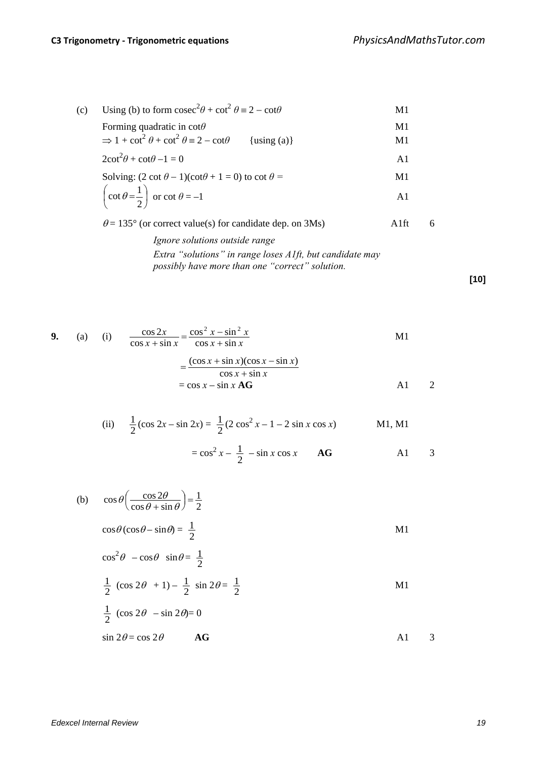(c) Using (b) to form 
$$
\csc^2 \theta + \cot^2 \theta = 2 - \cot \theta
$$
 M1  
\nForming quadratic in  $\cot \theta$  M1  
\n $\Rightarrow 1 + \cot^2 \theta + \cot^2 \theta = 2 - \cot \theta$  {using (a)} M1  
\n $2\cot^2 \theta + \cot \theta - 1 = 0$  A1  
\nSolving:  $(2 \cot \theta - 1)(\cot \theta + 1 = 0)$  to  $\cot \theta =$  M1  
\n $\left(\cot \theta = \frac{1}{2}\right)$  or  $\cot \theta = -1$  A1

 $\theta$  = 135° (or correct value(s) for candidate dep. on 3Ms) A1ft 6

*Ignore solutions outside range Extra "solutions" in range loses A1ft, but candidate may possibly have more than one "correct" solution.*

**[10]**

9. (a) (i) 
$$
\frac{\cos 2x}{\cos x + \sin x} = \frac{\cos^2 x - \sin^2 x}{\cos x + \sin x}
$$
   
 
$$
= \frac{(\cos x + \sin x)(\cos x - \sin x)}{\cos x + \sin x}
$$
  

$$
= \cos x - \sin x \mathbf{AG}
$$

(ii) 
$$
\frac{1}{2}(\cos 2x - \sin 2x) = \frac{1}{2}(2 \cos^2 x - 1 - 2 \sin x \cos x)
$$
 M1, M1  
=  $\cos^2 x - \frac{1}{2} - \sin x \cos x$  AG A1 3

(b) 
$$
\cos \theta \left(\frac{\cos 2\theta}{\cos \theta + \sin \theta}\right) = \frac{1}{2}
$$
  
\n $\cos \theta (\cos \theta - \sin \theta) = \frac{1}{2}$   
\n $\cos^2 \theta - \cos \theta \sin \theta = \frac{1}{2}$   
\n $\frac{1}{2} (\cos 2\theta + 1) - \frac{1}{2} \sin 2\theta = \frac{1}{2}$   
\n $\frac{1}{2} (\cos 2\theta - \sin 2\theta) = 0$   
\n $\sin 2\theta = \cos 2\theta$  **AG**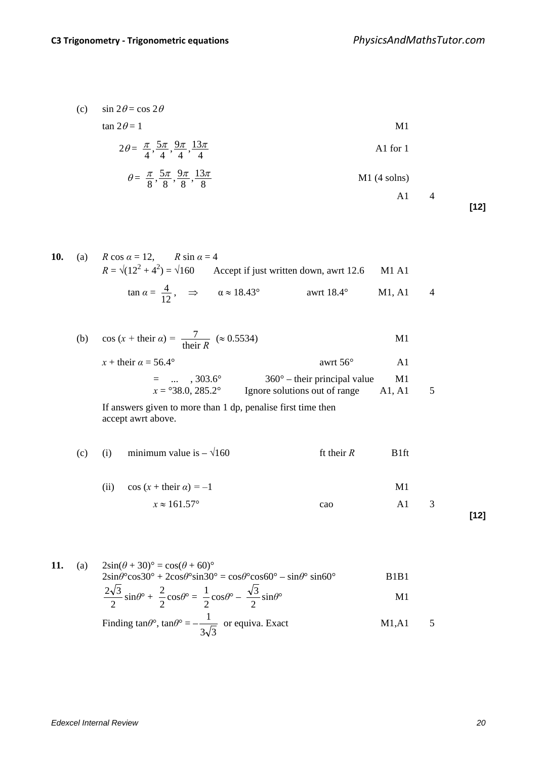(c)  $\sin 2\theta = \cos 2\theta$ 

 $\tan 2\theta = 1$  M1

$$
2\theta = \frac{\pi}{4}, \frac{5\pi}{4}, \frac{9\pi}{4}, \frac{13\pi}{4}
$$

$$
\theta = \frac{\pi}{8}, \frac{5\pi}{8}, \frac{9\pi}{8}, \frac{13\pi}{8}
$$
 M1 (4 solns)  
A1 4

**[12]**

10. (a) 
$$
R \cos \alpha = 12
$$
,  $R \sin \alpha = 4$   
\n $R = \sqrt{(12^2 + 4^2)} = \sqrt{160}$  Accept if just written down, awrt 12.6 M1 A1  
\n $\tan \alpha = \frac{4}{12}$ ,  $\Rightarrow \alpha \approx 18.43^\circ$  awrt 18.4° M1, A1 4

(b) 
$$
\cos (x + \text{their } \alpha) = \frac{7}{\text{their } R} (\approx 0.5534)
$$
   
\n $x + \text{their } \alpha = 56.4^{\circ}$    
\n $= \dots , 303.6^{\circ}$    
\n $x = {}^{\circ}38.0, 285.2^{\circ}$    
\nIgmore solutions out of range A1, A1 5  
\nIf answers given to more than 1 dp, penalise first time then  
\naccept awrt above.

(c) (i) minimum value is 
$$
-\sqrt{160}
$$
  
\n(ii)  $\cos(x + \text{their } \alpha) = -1$   
\n $x \approx 161.57^{\circ}$   
\n**11**  
\n**12**  
\n**13**

11. (a) 
$$
2\sin(\theta + 30)^\circ = \cos(\theta + 60)^\circ
$$
  
\n $2\sin\theta^\circ \cos 30^\circ + 2\cos\theta^\circ \sin 30^\circ = \cos\theta^\circ \cos 60^\circ - \sin\theta^\circ \sin 60^\circ$   
\n $\frac{2\sqrt{3}}{2}\sin\theta^\circ + \frac{2}{2}\cos\theta^\circ = \frac{1}{2}\cos\theta^\circ - \frac{\sqrt{3}}{2}\sin\theta^\circ$  M1

Finding 
$$
\tan \theta^\circ
$$
,  $\tan \theta^\circ = -\frac{1}{3\sqrt{3}}$  or equiva. Exact M1,A1 5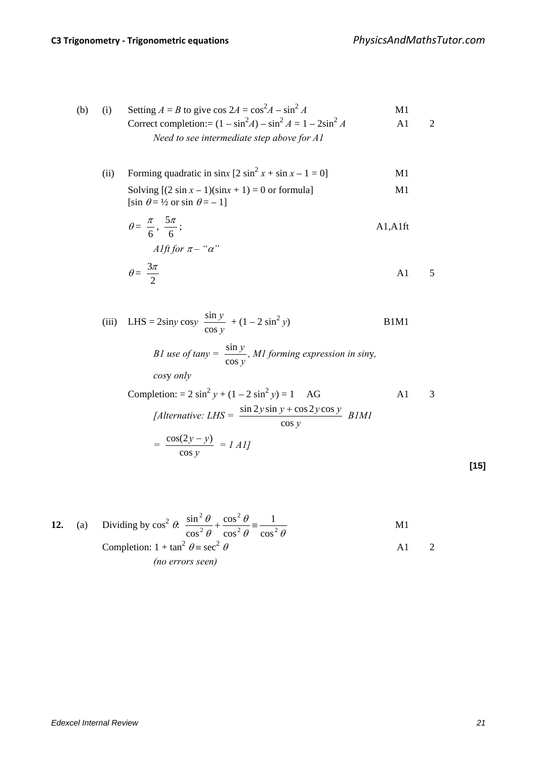*=* 

*y*

cos

(b) (i) Setting 
$$
A = B
$$
 to give  $\cos 2A = \cos^2 A - \sin^2 A$  M1  
Correct completion:  $= (1 - \sin^2 A) - \sin^2 A = 1 - 2\sin^2 A$  A1 2  
Need to see intermediate step above for A1

(ii) Forming quadratic in sinx  $[2 \sin^2 x + \sin x - 1 = 0]$  M1 Solving  $[(2 \sin x - 1)(\sin x + 1) = 0$  or formula] M1

$$
[\sin \theta = \frac{1}{2} \text{ or } \sin \theta = -1]
$$
  
\n
$$
\theta = \frac{\pi}{6}, \frac{5\pi}{6};
$$
  
\n
$$
Alft \text{ for } \pi - \text{``}\alpha\text{''}
$$

$$
\theta = \frac{3\pi}{2} \tag{A1} \quad 5
$$

(iii) LHS = 2siny cosy 
$$
\frac{\sin y}{\cos y}
$$
 + (1 – 2 sin<sup>2</sup> y)   
\n*B1M1*  
\n*B1 use of tany* =  $\frac{\sin y}{\cos y}$ , *M1 forming expression in siny,*  
\n*cosy only*  
\nCompletion: = 2 sin<sup>2</sup> y + (1 – 2 sin<sup>2</sup> y) = 1   
\n*AG*  
\n*[Alternative: LHS =  $\frac{\sin 2y \sin y + \cos 2y \cos y}{\cos y}$  *B1M1*  
\n $= \frac{\cos(2y - y)}{\cos y} = 1$  *A1*]*

12. (a) Dividing by 
$$
\cos^2 \theta
$$
.  $\frac{\sin^2 \theta}{\cos^2 \theta} + \frac{\cos^2 \theta}{\cos^2 \theta} = \frac{1}{\cos^2 \theta}$  M1  
Completion:  $1 + \tan^2 \theta = \sec^2 \theta$  A1 2  
(no errors seen)

**[15]**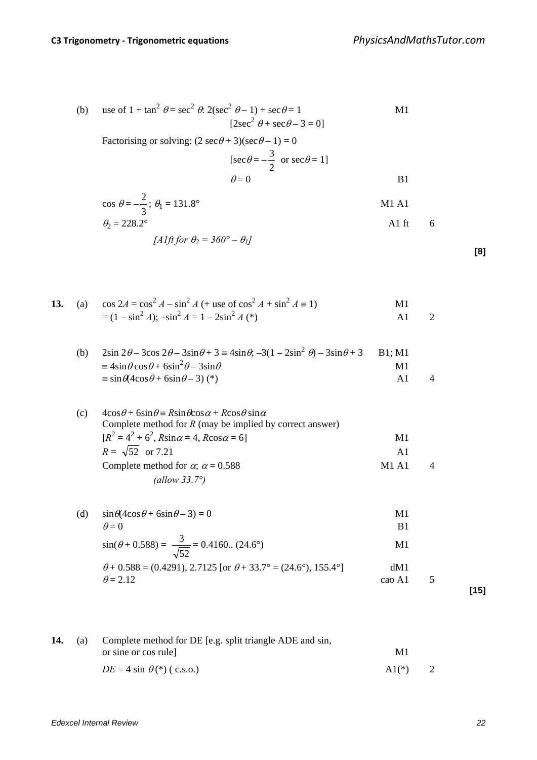(b) use of 
$$
1 + \tan^2 \theta = \sec^2 \theta
$$
.  $2(\sec^2 \theta - 1) + \sec \theta = 1$   
\n[ $2\sec^2 \theta + \sec \theta - 3 = 0$ ]  
\nFactorising or solving:  $(2 \sec \theta + 3)(\sec \theta - 1) = 0$ 

$$
[\sec \theta = -\frac{3}{2} \text{ or } \sec \theta = 1]
$$
  

$$
\theta = 0
$$
 B1

$$
\cos \theta = -\frac{2}{3}; \theta_1 = 131.8^{\circ}
$$
 M1 A1

$$
\theta_2 = 228.2^\circ \qquad \qquad \text{A1 ft} \qquad 6
$$

[*A*1ft for 
$$
\theta_2 = 360^\circ - \theta_1
$$
]

| ×<br>۰.<br>×<br>۰. |
|--------------------|
|--------------------|

|  | <b>13.</b> (a) $\cos 2A = \cos^2 A - \sin^2 A$ (+ use of $\cos^2 A + \sin^2 A = 1$ ) | M1 |  |
|--|--------------------------------------------------------------------------------------|----|--|
|  | $= (1 - \sin^2 A); - \sin^2 A = 1 - 2\sin^2 A$ (*)                                   |    |  |

| (b) | $2\sin 2\theta - 3\cos 2\theta - 3\sin \theta + 3 \equiv 4\sin \theta$ , $-3(1 - 2\sin^2 \theta) - 3\sin \theta + 3$ B1; M1 |    |                |
|-----|-----------------------------------------------------------------------------------------------------------------------------|----|----------------|
|     | $\equiv 4\sin\theta\cos\theta + 6\sin^2\theta - 3\sin\theta$                                                                | M1 |                |
|     | $\equiv$ sin $\theta$ (4cos $\theta$ +6sin $\theta$ –3)(*)                                                                  |    | $\overline{4}$ |

| (c) | $4\cos\theta + 6\sin\theta = R\sin\theta\cos\alpha + R\cos\theta\sin\alpha$ |                     |  |
|-----|-----------------------------------------------------------------------------|---------------------|--|
|     | Complete method for $R$ (may be implied by correct answer)                  |                     |  |
|     | $[R^{2} = 4^{2} + 6^{2}, R\sin \alpha = 4, R\cos \alpha = 6]$               | M1                  |  |
|     | $R = \sqrt{52}$ or 7.21                                                     | $\mathsf{A}1$       |  |
|     | Complete method for $\alpha$ ; $\alpha$ = 0.588                             | $M1$ A <sub>1</sub> |  |
|     | (allow $33.7^\circ$ )                                                       |                     |  |

(d)  $\sin\theta(4\cos\theta + 6\sin\theta - 3) = 0$  M1  $\theta = 0$  B1  $\sin(\theta + 0.588) = \frac{3}{\sqrt{2}} = 0.4160... (24.6^{\circ})$  M1

$$
\sin(\theta + 0.588) = \frac{1}{\sqrt{52}} = 0.4160... (24.6^{\circ})
$$

$$
\theta + 0.588 = (0.4291), 2.7125
$$
 [or  $\theta + 33.7^{\circ} = (24.6^{\circ}), 155.4^{\circ}$ ]   
\n $\theta = 2.12$    
\n**15** [15]

**14.** (a) Complete method for DE [e.g. split triangle ADE and sin, or sine or cos rule] M1  $DE = 4 \sin \theta$  (\*) ( c.s.o.) A1(\*) 2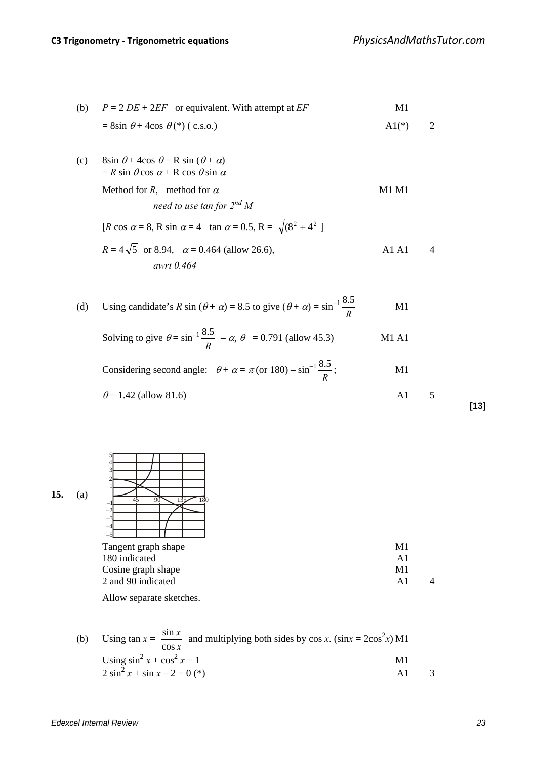(b) 
$$
P = 2DE + 2EF
$$
 or equivalent. With attempt at *EF*   
  $= 8\sin \theta + 4\cos \theta (*)$  ( c.s.o.)   
  $A1(*)$   $2$ 

(c) 8sin  $\theta$  + 4cos  $\theta$  = R sin ( $\theta$  +  $\alpha$ )  $=$  *R* sin  $\theta$  cos  $\alpha$  + R cos  $\theta$  sin  $\alpha$ 

> Method for  $R$ , method for  $\alpha$  M1 M1 *need to use tan for 2nd M*  [*R* cos  $\alpha = 8$ , R sin  $\alpha = 4$  tan  $\alpha = 0.5$ , R =  $\sqrt{(8^2 + 4^2)}$ ]  $R = 4\sqrt{5}$  or 8.94,  $\alpha = 0.464$  (allow 26.6), A1 A1 4 *awrt 0.464*

(d) Using candidate's *R* sin 
$$
(\theta + \alpha) = 8.5
$$
 to give  $(\theta + \alpha) = \sin^{-1} \frac{8.5}{R}$  M1

Solving to give 
$$
\theta = \sin^{-1} \frac{8.5}{R} - \alpha
$$
,  $\theta = 0.791$  (allow 45.3) M1 A1

Considering second angle:  $\theta + \alpha = \pi$  (or 180) – sin<sup>-1</sup> *R* 5.8  $M1$ 

$$
\theta = 1.42 \text{ (allow 81.6)} \quad \text{A1} \quad 5
$$

**[13]**



5 4 3 2 1 –1 –2 –3 –4 –5

| Tangent graph shape | M1  |  |
|---------------------|-----|--|
| 180 indicated       | A1  |  |
| Cosine graph shape  | M1  |  |
| 2 and 90 indicated  | A 1 |  |
|                     |     |  |

Allow separate sketches.

(b) Using 
$$
\tan x = \frac{\sin x}{\cos x}
$$
 and multiplying both sides by  $\cos x$ .  $(\sin x = 2\cos^2 x) M1$   
Using  $\sin^2 x + \cos^2 x = 1$   
2  $\sin^2 x + \sin x - 2 = 0 (*)$  A1 3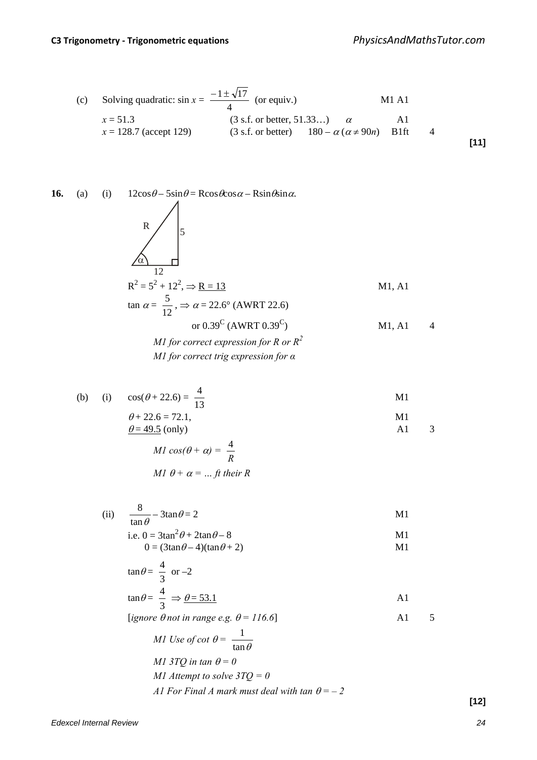(c) Solving quadratic: 
$$
\sin x = \frac{-1 \pm \sqrt{17}}{4}
$$
 (or equiv.)  
\n $x = 51.3$  (3 s.f. or better, 51.33...)  $\alpha$  A1  
\n $x = 128.7$  (accept 129) (3 s.f. or better)  $180 - \alpha (\alpha \neq 90n)$  B1ft 4 [11]

**16.** (a) (i) 12cosθ – 5sinθ = Rcosθcosα – Rsinθsinα. α <sup>R</sup> <sup>5</sup> 12 R2 = 5<sup>2</sup> + 122 , ⇒ R = 13 M1, A1 tan <sup>α</sup> = 12 <sup>5</sup> , <sup>⇒</sup> <sup>α</sup> = 22.6° (AWRT 22.6) or 0.39<sup>C</sup> (AWRT 0.39C) M1, A1 4 *M1 for correct expression for R or R<sup>2</sup> M1 for correct trig expression for α*

(b) (i) 
$$
cos(\theta + 22.6) = \frac{4}{13}
$$
  
\n $\theta + 22.6 = 72.1,$   
\n $\underline{\theta} = 49.5$  (only)  
\nA1 3

$$
MI \cos(\theta + \alpha) = \frac{4}{R}
$$
  

$$
MI \theta + \alpha = ... ft \text{ their } R
$$

(ii) 
$$
\frac{8}{\tan \theta} - 3\tan \theta = 2
$$
   
 i.e.  $0 = 3\tan^2 \theta + 2\tan \theta - 8$    
 M1

$$
0 = (3\tan\theta - 4)(\tan\theta + 2) \tag{M1}
$$

$$
\tan \theta = \frac{4}{3} \text{ or } -2
$$
  

$$
\tan \theta = \frac{4}{3} \implies \underline{\theta = 53.1}
$$

 $[igmore \theta not in range e.g. \theta = 116.6]$  A1 5

*M1 Use of cot* 
$$
\theta = \frac{1}{\tan \theta}
$$
  
\n*M1 3TQ in tan*  $\theta = 0$   
\n*M1 Attempt to solve*  $3TQ = 0$   
\n*AI For Final A mark must deal with tan*  $\theta = -2$ 

*Edexcel Internal Review 24*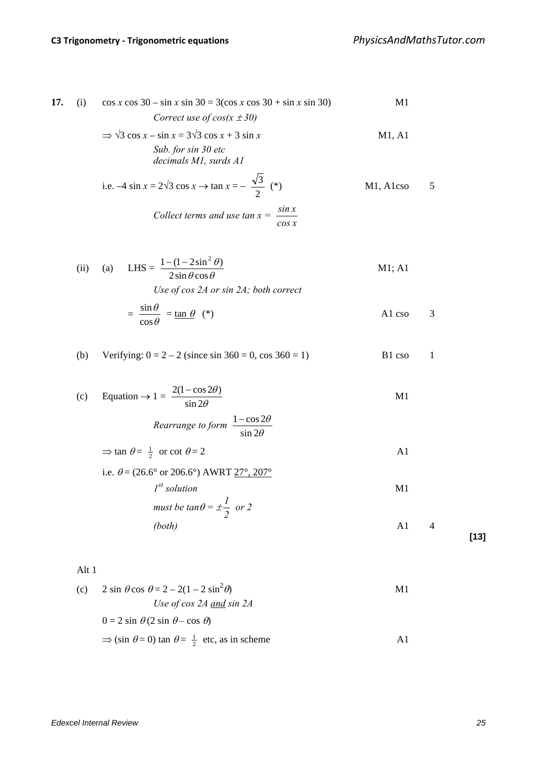17. (i) 
$$
\cos x \cos 30 - \sin x \sin 30 = 3(\cos x \cos 30 + \sin x \sin 30)
$$
 M1  
\n*Correct use of cos(x ± 30)*  
\n $\Rightarrow \sqrt{3} \cos x - \sin x = 3\sqrt{3} \cos x + 3 \sin x$  M1, A1  
\n*Sub. for sin 30 etc*

*decimals M1, surds A1*

i.e. 
$$
-4 \sin x = 2\sqrt{3} \cos x \to \tan x = -\frac{\sqrt{3}}{2} (*)
$$
 M1, Alcso 5  
\nCollect terms and use  $\tan x = \frac{\sin x}{\cos x}$ 

(ii) (a) LHS = 
$$
\frac{1 - (1 - 2\sin^2 \theta)}{2\sin \theta \cos \theta}
$$
 M1; A1

*Use of cos 2A or sin 2A; both correct*

$$
= \frac{\sin \theta}{\cos \theta} = \tan \theta
$$
 (\*)\n
$$
A1 \cos \theta = 3
$$

(b) Verifying: 
$$
0 = 2 - 2
$$
 (since  $\sin 360 = 0$ ,  $\cos 360 = 1$ )  
B1  $\cos 1$ 

(c) Equation 
$$
\rightarrow 1 = \frac{2(1 - \cos 2\theta)}{\sin 2\theta}
$$
 M1  
\nRearrange to form  $\frac{1 - \cos 2\theta}{\sin 2\theta}$ 

 $\Rightarrow$  tan  $\theta = \frac{1}{2}$  or cot  $\theta = 2$  A1

i.e. 
$$
\theta = (26.6^{\circ} \text{ or } 206.6^{\circ}) \text{ AWRT } \frac{27^{\circ}, 207^{\circ}}{27^{\circ}, 207^{\circ}}
$$
  
\n*I<sup>st</sup> solution*  
\n*must be tan*  $\theta = \pm \frac{1}{2}$  *or* 2  
\n*(both)*

Alt 1

(c) 
$$
2 \sin \theta \cos \theta = 2 - 2(1 - 2 \sin^2 \theta)
$$
 M1  
\n*Use of cos 2A and sin 2A*  
\n $0 = 2 \sin \theta (2 \sin \theta - \cos \theta)$   
\n $\Rightarrow (\sin \theta = 0) \tan \theta = \frac{1}{2} \text{ etc, as in scheme}$  A1

**[13]**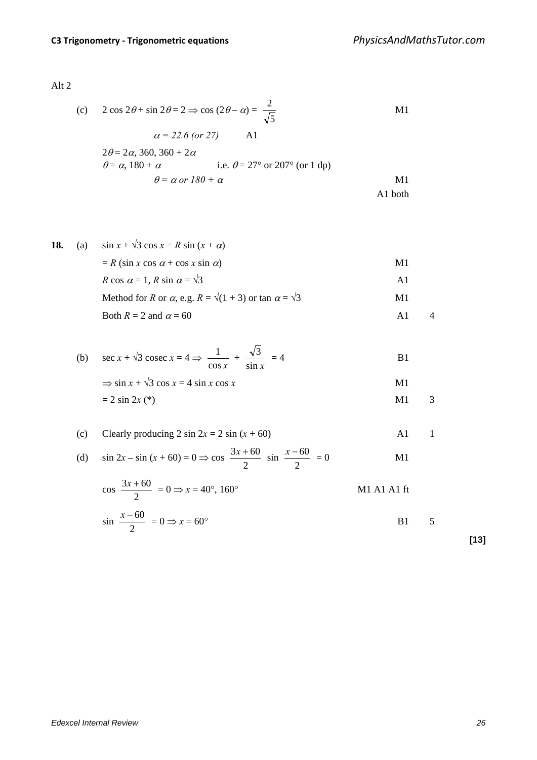Alt 2

(c) 
$$
2 \cos 2\theta + \sin 2\theta = 2 \Rightarrow \cos (2\theta - \alpha) = \frac{2}{\sqrt{5}}
$$
 M1  
\n $\alpha = 22.6 \text{ (or } 27)$  A1  
\n $2\theta = 2\alpha, 360, 360 + 2\alpha$   
\n $\theta = \alpha, 180 + \alpha$  i.e.  $\theta = 27^\circ \text{ or } 207^\circ \text{ (or } 1 \text{ d} \text{m})$ 

$$
\theta = \alpha, 180 + \alpha \qquad \text{i.e. } \theta = 27^{\circ} \text{ or } 207^{\circ} \text{ (or 1 dp)}
$$
  
 
$$
\theta = \alpha \text{ or } 180 + \alpha \qquad \text{M1}
$$
  
 
$$
\text{A1 both}
$$

18. (a) 
$$
\sin x + \sqrt{3} \cos x = R \sin (x + \alpha)
$$
  
\t\t\t $= R (\sin x \cos \alpha + \cos x \sin \alpha)$  M1  
\t\t\t $R \cos \alpha = 1, R \sin \alpha = \sqrt{3}$  A1  
\t\t\tMethod for R or  $\alpha$ , e.g.  $R = \sqrt{(1 + 3)}$  or  $\tan \alpha = \sqrt{3}$  M1  
\t\t\tBoth  $R = 2$  and  $\alpha = 60$  A1 4

(b) 
$$
\sec x + \sqrt{3} \csc x = 4 \Rightarrow \frac{1}{\cos x} + \frac{\sqrt{3}}{\sin x} = 4
$$
  
\n $\Rightarrow \sin x + \sqrt{3} \cos x = 4 \sin x \cos x$   
\n $= 2 \sin 2x (*)$   
\nM1 3

(c) Clearly producing 2 sin 2x = 2 sin (x + 60)  
\n(d) sin 2x - sin (x + 60) = 0 
$$
\Rightarrow
$$
 cos  $\frac{3x + 60}{2}$  sin  $\frac{x - 60}{2}$  = 0  
\nM1

$$
\cos \frac{3x + 60}{2} = 0 \Rightarrow x = 40^{\circ}, 160^{\circ}
$$
   
M1 A1 A1 ft

$$
\sin \frac{x - 60}{2} = 0 \Rightarrow x = 60^{\circ}
$$
 B1 5

**[13]**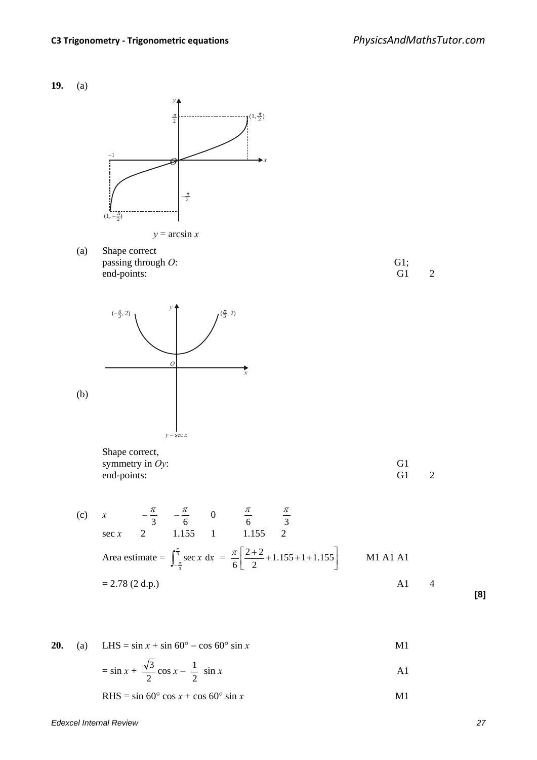

RHS =  $\sin 60^\circ \cos x + \cos 60^\circ \sin x$  M1

**[8]**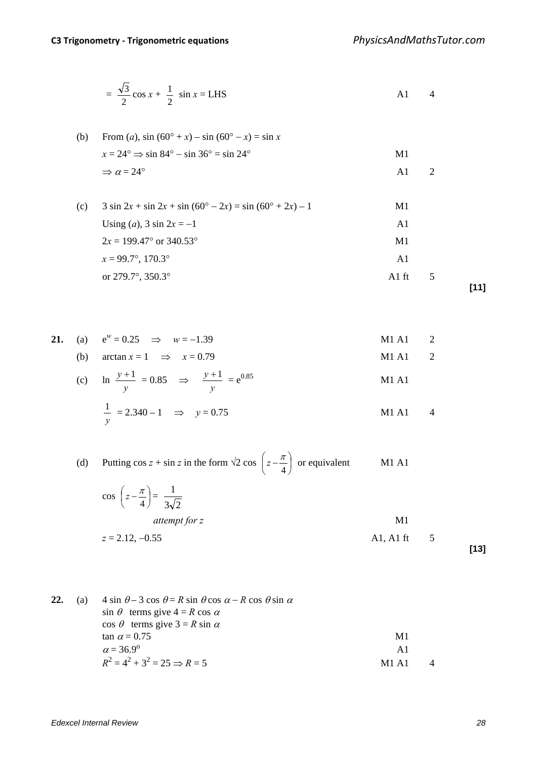$$
= \frac{\sqrt{3}}{2}\cos x + \frac{1}{2}\sin x = LHS
$$
 A1 4

(b) From (a), 
$$
\sin (60^\circ + x) - \sin (60^\circ - x) = \sin x
$$
  
\n $x = 24^\circ \Rightarrow \sin 84^\circ - \sin 36^\circ = \sin 24^\circ$   
\n $\Rightarrow \alpha = 24^\circ$   
\n(A) 2  
\n(C) 3 sin 2x + sin 2x + sin (60° - 2x) = sin (60° + 2x) - 1  
\n(A) 2

(c) 
$$
3 \sin 2x + \sin 2x + \sin (60^\circ - 2x) = \sin (60^\circ + 2x) - 1
$$
  
\nUsing (a),  $3 \sin 2x = -1$   
\n $2x = 199.47^\circ \text{ or } 340.53^\circ$   
\n $x = 99.7^\circ, 170.3^\circ$   
\nor 279.7°, 350.3°  
\n**111**

**21.** (a)  $e^w = 0.25 \implies w = -1.39$  M1 A1 2

(b)  $\arctan x = 1 \implies x = 0.79$  M1 A1 2

(c) 
$$
\ln \frac{y+1}{y} = 0.85 \implies \frac{y+1}{y} = e^{0.85}
$$
  
\n $\frac{1}{y} = 2.340 - 1 \implies y = 0.75$   
\nM1 A1 4

(d) Putting  $\cos z + \sin z$  in the form  $\sqrt{2} \cos |z - \frac{\pi}{2}|$  $\overline{\phantom{a}}$  $\left(z-\frac{\pi}{4}\right)$  $\left(z - \frac{\pi}{4}\right)$  or equivalent M1 A1

$$
\cos\left(z - \frac{\pi}{4}\right) = \frac{1}{3\sqrt{2}}
$$
\n
$$
attempt for z
$$
\nM1\n
$$
z = 2.12, -0.55
$$
\nM1\nA1, A1 ft\n5

**[13]**

| 22. | (a) | $4 \sin \theta - 3 \cos \theta = R \sin \theta \cos \alpha - R \cos \theta \sin \alpha$ |                     |  |
|-----|-----|-----------------------------------------------------------------------------------------|---------------------|--|
|     |     | $\sin \theta$ terms give $4 = R \cos \alpha$                                            |                     |  |
|     |     | $\cos \theta$ terms give $3 = R \sin \alpha$                                            |                     |  |
|     |     | $\tan \alpha = 0.75$                                                                    | M1                  |  |
|     |     | $\alpha = 36.9^{\circ}$                                                                 | A1                  |  |
|     |     | $R^2 = 4^2 + 3^2 = 25 \implies R = 5$                                                   | $M1$ A <sub>1</sub> |  |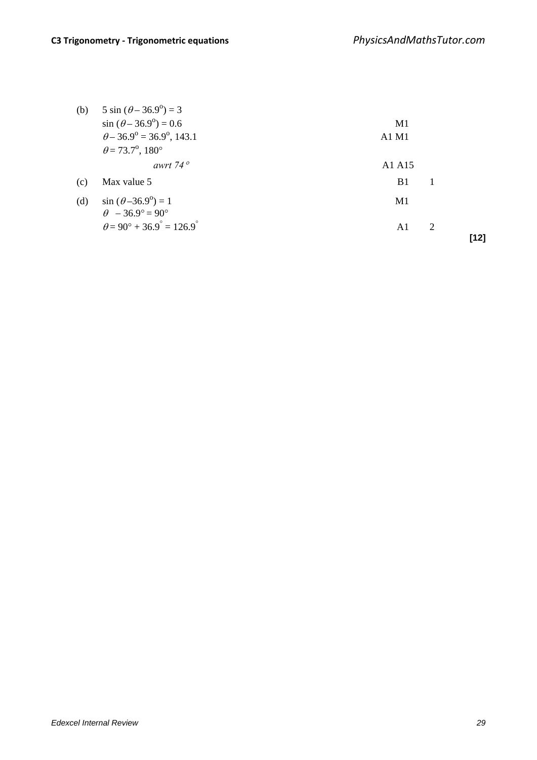| (b) | $5 \sin (\theta - 36.9^\circ) = 3$                         |                     |   |      |
|-----|------------------------------------------------------------|---------------------|---|------|
|     | $\sin (\theta - 36.9^\circ) = 0.6$                         | M1                  |   |      |
|     | $\theta$ – 36.9° = 36.9°, 143.1                            | $A1$ M <sub>1</sub> |   |      |
|     | $\theta = 73.7^{\circ}, 180^{\circ}$                       |                     |   |      |
|     | awrt 74 $\degree$                                          | A1 A15              |   |      |
| (c) | Max value 5                                                | B1                  |   |      |
| (d) | $\sin (\theta - 36.9^\circ) = 1$<br>$\theta$ - 36.9° = 90° | M1                  |   |      |
|     | $\theta = 90^\circ + 36.9^\circ = 126.9^\circ$             | A1                  | 2 | [12] |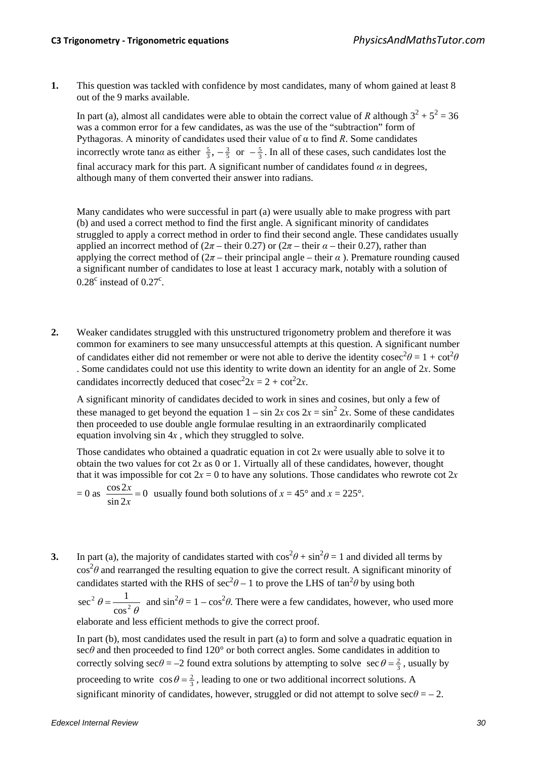**1.** This question was tackled with confidence by most candidates, many of whom gained at least 8 out of the 9 marks available.

In part (a), almost all candidates were able to obtain the correct value of *R* although  $3^2 + 5^2 = 36$ was a common error for a few candidates, as was the use of the "subtraction" form of Pythagoras. A minority of candidates used their value of α to find *R*. Some candidates incorrectly wrote tan $\alpha$  as either  $\frac{5}{3}$ ,  $-\frac{3}{5}$  or  $-\frac{5}{3}$ . In all of these cases, such candidates lost the final accuracy mark for this part. A significant number of candidates found  $\alpha$  in degrees, although many of them converted their answer into radians.

Many candidates who were successful in part (a) were usually able to make progress with part (b) and used a correct method to find the first angle. A significant minority of candidates struggled to apply a correct method in order to find their second angle. These candidates usually applied an incorrect method of  $(2\pi - \text{their } 0.27)$  or  $(2\pi - \text{their } \alpha - \text{their } 0.27)$ , rather than applying the correct method of  $(2\pi - \text{their principal angle} - \text{their } \alpha)$ . Premature rounding caused a significant number of candidates to lose at least 1 accuracy mark, notably with a solution of  $0.28^c$  instead of  $0.27^c$ .

**2.** Weaker candidates struggled with this unstructured trigonometry problem and therefore it was common for examiners to see many unsuccessful attempts at this question. A significant number of candidates either did not remember or were not able to derive the identity cosec<sup>2</sup> $\theta = 1 + \cot^2 \theta$ . Some candidates could not use this identity to write down an identity for an angle of 2*x*. Some candidates incorrectly deduced that  $\csc^2 2x = 2 + \cot^2 2x$ .

A significant minority of candidates decided to work in sines and cosines, but only a few of these managed to get beyond the equation  $1 - \sin 2x \cos 2x = \sin^2 2x$ . Some of these candidates then proceeded to use double angle formulae resulting in an extraordinarily complicated equation involving sin 4*x* , which they struggled to solve.

Those candidates who obtained a quadratic equation in cot 2*x* were usually able to solve it to obtain the two values for cot  $2x$  as 0 or 1. Virtually all of these candidates, however, thought that it was impossible for cot  $2x = 0$  to have any solutions. Those candidates who rewrote cot  $2x$ 

$$
= 0 \text{ as } \frac{\cos 2x}{\sin 2x} = 0 \text{ usually found both solutions of } x = 45^{\circ} \text{ and } x = 225^{\circ}.
$$

**3.** In part (a), the majority of candidates started with  $\cos^2\theta + \sin^2\theta = 1$  and divided all terms by cos<sup>2</sup>θ and rearranged the resulting equation to give the correct result. A significant minority of candidates started with the RHS of  $\sec^2\theta - 1$  to prove the LHS of  $\tan^2\theta$  by using both

<sup>2</sup>  $\theta = \frac{1}{\cos^2 \theta}$ cos sec<sup>2</sup>  $θ = \frac{1}{\sqrt{2}}$  and sin<sup>2</sup> $θ = 1 - \cos^2 θ$ . There were a few candidates, however, who used more

elaborate and less efficient methods to give the correct proof.

In part (b), most candidates used the result in part (a) to form and solve a quadratic equation in sec $\theta$  and then proceeded to find 120 $^{\circ}$  or both correct angles. Some candidates in addition to correctly solving  $\sec\theta = -2$  found extra solutions by attempting to solve  $\sec\theta = \frac{2}{3}$ , usually by proceeding to write  $\cos\theta = \frac{2}{3}$ , leading to one or two additional incorrect solutions. A significant minority of candidates, however, struggled or did not attempt to solve  $\sec\theta = -2$ .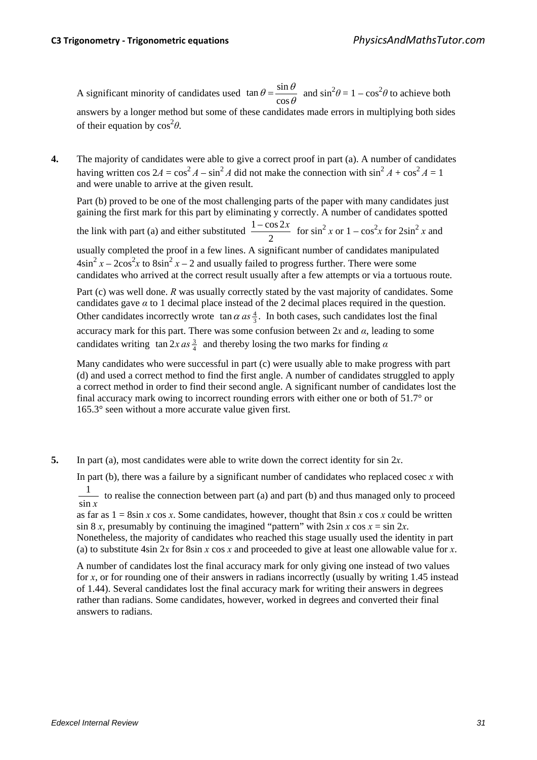A significant minority of candidates used  $\tan \theta = \frac{\sin \theta}{\cos \theta}$  $\theta = \frac{\sin \theta}{\cos \theta}$ cos  $\tan \theta = \frac{\sin \theta}{\sin^2 \theta}$  and  $\sin^2 \theta = 1 - \cos^2 \theta$  to achieve both answers by a longer method but some of these candidates made errors in multiplying both sides of their equation by  $\cos^2\theta$ .

**4.** The majority of candidates were able to give a correct proof in part (a). A number of candidates having written cos  $2A = \cos^2 A - \sin^2 A$  did not make the connection with  $\sin^2 A + \cos^2 A = 1$ and were unable to arrive at the given result.

Part (b) proved to be one of the most challenging parts of the paper with many candidates just gaining the first mark for this part by eliminating y correctly. A number of candidates spotted the link with part (a) and either substituted  $\frac{1-\cos 2x}{2}$  for  $\sin^2 x$  or  $1-\cos^2 x$  for  $2\sin^2 x$  and usually completed the proof in a few lines. A significant number of candidates manipulated  $4\sin^2 x - 2\cos^2 x$  to  $8\sin^2 x - 2$  and usually failed to progress further. There were some candidates who arrived at the correct result usually after a few attempts or via a tortuous route.

Part (c) was well done. *R* was usually correctly stated by the vast majority of candidates. Some candidates gave  $\alpha$  to 1 decimal place instead of the 2 decimal places required in the question. Other candidates incorrectly wrote  $\tan \alpha \, as \frac{4}{3}$ . In both cases, such candidates lost the final accuracy mark for this part. There was some confusion between  $2x$  and  $\alpha$ , leading to some candidates writing  $\tan 2x \, as \frac{3}{4}$  and thereby losing the two marks for finding *α* 

Many candidates who were successful in part (c) were usually able to make progress with part (d) and used a correct method to find the first angle. A number of candidates struggled to apply a correct method in order to find their second angle. A significant number of candidates lost the final accuracy mark owing to incorrect rounding errors with either one or both of 51.7° or 165.3° seen without a more accurate value given first.

**5.** In part (a), most candidates were able to write down the correct identity for sin 2*x*.

In part (b), there was a failure by a significant number of candidates who replaced cosec *x* with

sin *x*  $\frac{1}{1}$  to realise the connection between part (a) and part (b) and thus managed only to proceed

as far as  $1 = 8\sin x \cos x$ . Some candidates, however, thought that  $8\sin x \cos x$  could be written  $\sin 8 x$ , presumably by continuing the imagined "pattern" with  $2\sin x \cos x = \sin 2x$ . Nonetheless, the majority of candidates who reached this stage usually used the identity in part (a) to substitute 4sin 2*x* for 8sin *x* cos *x* and proceeded to give at least one allowable value for *x*.

A number of candidates lost the final accuracy mark for only giving one instead of two values for *x*, or for rounding one of their answers in radians incorrectly (usually by writing 1.45 instead of 1.44). Several candidates lost the final accuracy mark for writing their answers in degrees rather than radians. Some candidates, however, worked in degrees and converted their final answers to radians.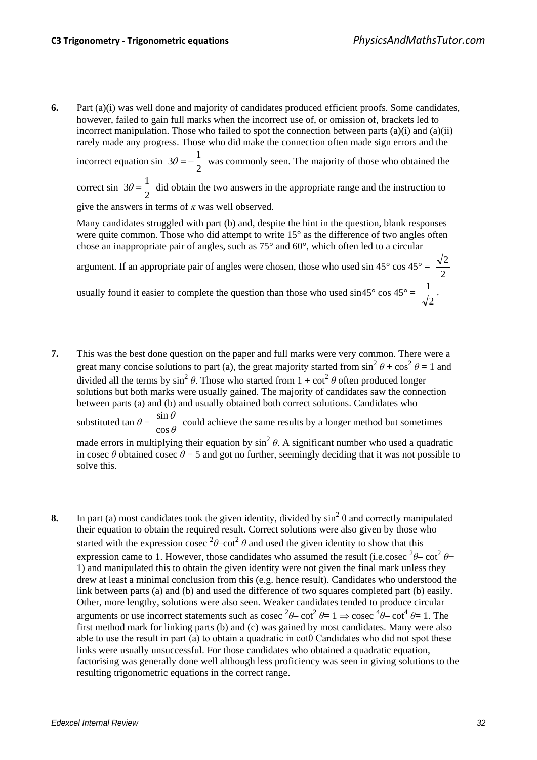**6.** Part (a)(i) was well done and majority of candidates produced efficient proofs. Some candidates, however, failed to gain full marks when the incorrect use of, or omission of, brackets led to incorrect manipulation. Those who failed to spot the connection between parts  $(a)(i)$  and  $(a)(ii)$ rarely made any progress. Those who did make the connection often made sign errors and the

incorrect equation sin  $3\theta = -\frac{1}{2}$  was commonly seen. The majority of those who obtained the

correct sin 2  $3\theta = \frac{1}{2}$  did obtain the two answers in the appropriate range and the instruction to give the answers in terms of  $\pi$  was well observed.

Many candidates struggled with part (b) and, despite the hint in the question, blank responses were quite common. Those who did attempt to write 15° as the difference of two angles often chose an inappropriate pair of angles, such as 75° and 60°, which often led to a circular

argument. If an appropriate pair of angles were chosen, those who used sin 45° cos 45° =  $\frac{\sqrt{2}}{2}$ 

usually found it easier to complete the question than those who used sin45° cos  $45^{\circ} = \frac{1}{\sqrt{10}}$ . 2 1

- **7.** This was the best done question on the paper and full marks were very common. There were a great many concise solutions to part (a), the great majority started from  $\sin^2 \theta + \cos^2 \theta = 1$  and divided all the terms by  $\sin^2 \theta$ . Those who started from  $1 + \cot^2 \theta$  often produced longer solutions but both marks were usually gained. The majority of candidates saw the connection between parts (a) and (b) and usually obtained both correct solutions. Candidates who substituted tan  $\theta = \frac{\sin \theta}{\cos \theta}$ cos  $\frac{\sin \theta}{\cos \theta}$  could achieve the same results by a longer method but sometimes made errors in multiplying their equation by  $\sin^2 \theta$ . A significant number who used a quadratic in cosec  $\theta$  obtained cosec  $\theta$  = 5 and got no further, seemingly deciding that it was not possible to solve this.
- **8.** In part (a) most candidates took the given identity, divided by  $\sin^2 \theta$  and correctly manipulated their equation to obtain the required result. Correct solutions were also given by those who started with the expression cosec  $2\theta$ –cot<sup>2</sup>  $\theta$  and used the given identity to show that this expression came to 1. However, those candidates who assumed the result (i.e.cosec <sup>2</sup> $\theta$ – cot<sup>2</sup>  $\theta$ = 1) and manipulated this to obtain the given identity were not given the final mark unless they drew at least a minimal conclusion from this (e.g. hence result). Candidates who understood the link between parts (a) and (b) and used the difference of two squares completed part (b) easily. Other, more lengthy, solutions were also seen. Weaker candidates tended to produce circular arguments or use incorrect statements such as cosec <sup>2</sup> $\theta$ – cot<sup>2</sup>  $\theta$ = 1  $\Rightarrow$  cosec <sup>4</sup> $\theta$ – cot<sup>4</sup>  $\theta$ = 1. The first method mark for linking parts (b) and (c) was gained by most candidates. Many were also able to use the result in part (a) to obtain a quadratic in cotθ Candidates who did not spot these links were usually unsuccessful. For those candidates who obtained a quadratic equation, factorising was generally done well although less proficiency was seen in giving solutions to the resulting trigonometric equations in the correct range.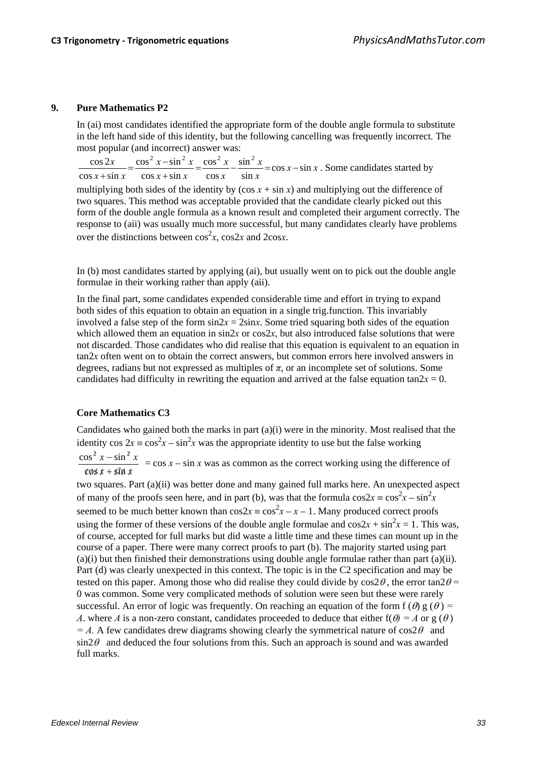## **9. Pure Mathematics P2**

In (ai) most candidates identified the appropriate form of the double angle formula to substitute in the left hand side of this identity, but the following cancelling was frequently incorrect. The most popular (and incorrect) answer was:

 $x$  - sin x *x x x x*  $x + \sin x$  $x-\sin^2 x$  $x + \sin x$  $\frac{x}{1} = \frac{\cos^2 x - \sin^2 x}{1} = \frac{\cos^2 x}{1} - \frac{\sin^2 x}{1} = \cos x - \sin x$ sin sin cos cos  $\cos x + \sin x$  $\cos^2 x - \sin x$  $\cos x + \sin x$  $\cos 2x$   $\cos^2 x - \sin^2 x$   $\cos^2 x \sin^2 x$  $\frac{\sinh x}{\sinh x} = \frac{\cos^2 x - \sin^2 x}{\cos x + \sin x} = \frac{\cos^2 x}{\cos x} - \frac{\sin^2 x}{\sin x} = \cos x - \sin x$ . Some candidates started by

multiplying both sides of the identity by  $(\cos x + \sin x)$  and multiplying out the difference of two squares. This method was acceptable provided that the candidate clearly picked out this form of the double angle formula as a known result and completed their argument correctly. The response to (aii) was usually much more successful, but many candidates clearly have problems over the distinctions between  $\cos^2 x$ ,  $\cos 2x$  and  $2\cos x$ .

In (b) most candidates started by applying (ai), but usually went on to pick out the double angle formulae in their working rather than apply (aii).

In the final part, some candidates expended considerable time and effort in trying to expand both sides of this equation to obtain an equation in a single trig.function. This invariably involved a false step of the form  $\sin 2x = 2\sin x$ . Some tried squaring both sides of the equation which allowed them an equation in  $\sin 2x$  or  $\cos 2x$ , but also introduced false solutions that were not discarded. Those candidates who did realise that this equation is equivalent to an equation in tan2*x* often went on to obtain the correct answers, but common errors here involved answers in degrees, radians but not expressed as multiples of *π*, or an incomplete set of solutions. Some candidates had difficulty in rewriting the equation and arrived at the false equation tan $2x = 0$ .

## **Core Mathematics C3**

Candidates who gained both the marks in part (a)(i) were in the minority. Most realised that the identity  $\cos 2x = \cos^2 x - \sin^2 x$  was the appropriate identity to use but the false working  $x - \sin^2 x$  $2x - \sin^2$  $\frac{\cos^2 x - \sin^2 x}{\sin x}$  =  $\cos x - \sin x$  was as common as the correct working using the difference of

*xx*  $\cos x + \sin x$  $\cos x + \sin$ 

two squares. Part (a)(ii) was better done and many gained full marks here. An unexpected aspect of many of the proofs seen here, and in part (b), was that the formula  $\cos 2x = \cos^2 x - \sin^2 x$ seemed to be much better known than  $\cos 2x = \cos^2 x - x - 1$ . Many produced correct proofs using the former of these versions of the double angle formulae and  $\cos 2x + \sin^2 x = 1$ . This was, of course, accepted for full marks but did waste a little time and these times can mount up in the course of a paper. There were many correct proofs to part (b). The majority started using part (a)(i) but then finished their demonstrations using double angle formulae rather than part (a)(ii). Part (d) was clearly unexpected in this context. The topic is in the C2 specification and may be tested on this paper. Among those who did realise they could divide by  $\cos 2\theta$ , the error  $\tan 2\theta =$ 0 was common. Some very complicated methods of solution were seen but these were rarely successful. An error of logic was frequently. On reaching an equation of the form f ( $\theta$ ) g ( $\theta$ ) = *A*. where *A* is a non-zero constant, candidates proceeded to deduce that either  $f(\theta) = A$  or g  $(\theta)$  $=$  A. A few candidates drew diagrams showing clearly the symmetrical nature of cos2 $\theta$  and  $\sin 2\theta$  and deduced the four solutions from this. Such an approach is sound and was awarded full marks.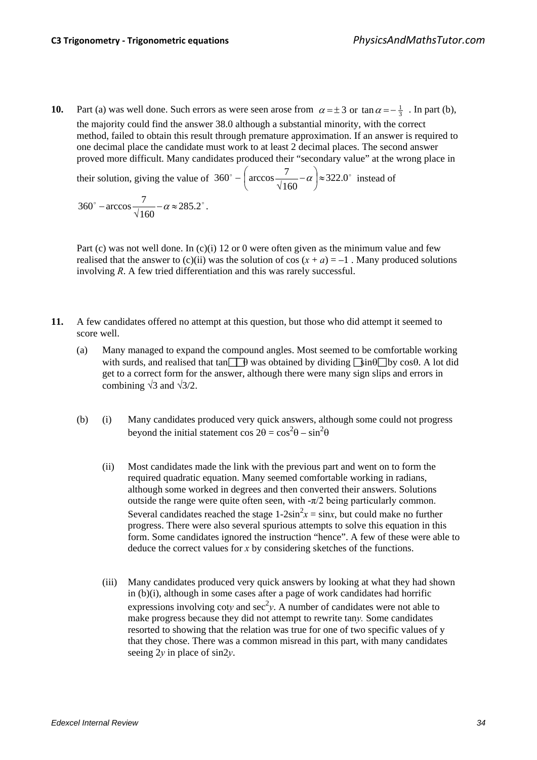**10.** Part (a) was well done. Such errors as were seen arose from  $\alpha = \pm 3$  or  $\tan \alpha = -\frac{1}{3}$ . In part (b), the majority could find the answer 38.0 although a substantial minority, with the correct method, failed to obtain this result through premature approximation. If an answer is required to one decimal place the candidate must work to at least 2 decimal places. The second answer proved more difficult. Many candidates produced their "secondary value" at the wrong place in

their solution, giving the value of  $360^\circ - \int \arccos \frac{7}{4} - \alpha \approx 322.0^\circ$ 160  $360^\circ - \left(\arccos \frac{7}{\sqrt{1-\cos^2 \alpha}} - \alpha\right) \approx$ Ј  $\left(\arccos \frac{7}{\sqrt{1-\cos^2\theta}}-\alpha\right)$  $-\left(\arccos \frac{7}{\sqrt{160}}-\alpha\right) \approx 322.0^{\circ}$  instead of

$$
360^\circ - \arccos \frac{7}{\sqrt{160}} - \alpha \approx 285.2^\circ.
$$

Part (c) was not well done. In (c)(i) 12 or 0 were often given as the minimum value and few realised that the answer to (c)(ii) was the solution of cos  $(x + a) = -1$ . Many produced solutions involving *R*. A few tried differentiation and this was rarely successful.

- **11.** A few candidates offered no attempt at this question, but those who did attempt it seemed to score well.
	- (a) Many managed to expand the compound angles. Most seemed to be comfortable working with surds, and realised that tan  $\Box$  b was obtained by dividing  $\Box$ sin $\Theta$  $\Box$ by cos $\Theta$ . A lot did get to a correct form for the answer, although there were many sign slips and errors in combining  $\sqrt{3}$  and  $\sqrt{3}/2$ .
	- (b) (i) Many candidates produced very quick answers, although some could not progress beyond the initial statement  $\cos 2\theta = \cos^2 \theta - \sin^2 \theta$ 
		- (ii) Most candidates made the link with the previous part and went on to form the required quadratic equation. Many seemed comfortable working in radians, although some worked in degrees and then converted their answers. Solutions outside the range were quite often seen, with  $-\pi/2$  being particularly common. Several candidates reached the stage  $1-2\sin^2 x = \sin x$ , but could make no further progress. There were also several spurious attempts to solve this equation in this form. Some candidates ignored the instruction "hence". A few of these were able to deduce the correct values for *x* by considering sketches of the functions.
		- (iii) Many candidates produced very quick answers by looking at what they had shown in (b)(i), although in some cases after a page of work candidates had horrific expressions involving coty and  $\sec^2 y$ . A number of candidates were not able to make progress because they did not attempt to rewrite tan*y.* Some candidates resorted to showing that the relation was true for one of two specific values of y that they chose. There was a common misread in this part, with many candidates seeing 2*y* in place of sin2*y*.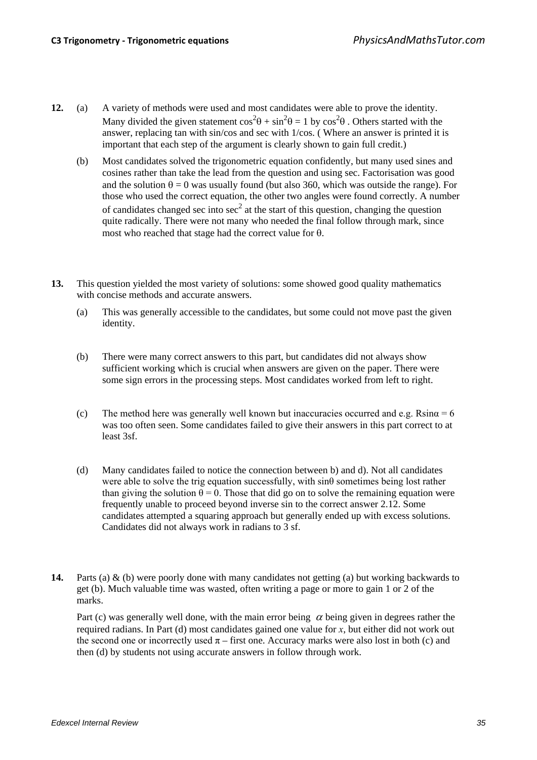- **12.** (a) A variety of methods were used and most candidates were able to prove the identity. Many divided the given statement  $\cos^2\theta + \sin^2\theta = 1$  by  $\cos^2\theta$ . Others started with the answer, replacing tan with sin/cos and sec with 1/cos. ( Where an answer is printed it is important that each step of the argument is clearly shown to gain full credit.)
	- (b) Most candidates solved the trigonometric equation confidently, but many used sines and cosines rather than take the lead from the question and using sec. Factorisation was good and the solution  $\theta = 0$  was usually found (but also 360, which was outside the range). For those who used the correct equation, the other two angles were found correctly. A number of candidates changed sec into  $\sec^2$  at the start of this question, changing the question quite radically. There were not many who needed the final follow through mark, since most who reached that stage had the correct value for θ.
- **13.** This question yielded the most variety of solutions: some showed good quality mathematics with concise methods and accurate answers.
	- (a) This was generally accessible to the candidates, but some could not move past the given identity.
	- (b) There were many correct answers to this part, but candidates did not always show sufficient working which is crucial when answers are given on the paper. There were some sign errors in the processing steps. Most candidates worked from left to right.
	- (c) The method here was generally well known but inaccuracies occurred and e.g.  $R\sin\alpha = 6$ was too often seen. Some candidates failed to give their answers in this part correct to at least 3sf.
	- (d) Many candidates failed to notice the connection between b) and d). Not all candidates were able to solve the trig equation successfully, with sinθ sometimes being lost rather than giving the solution  $\theta = 0$ . Those that did go on to solve the remaining equation were frequently unable to proceed beyond inverse sin to the correct answer 2.12. Some candidates attempted a squaring approach but generally ended up with excess solutions. Candidates did not always work in radians to 3 sf.
- **14.** Parts (a) & (b) were poorly done with many candidates not getting (a) but working backwards to get (b). Much valuable time was wasted, often writing a page or more to gain 1 or 2 of the marks.

Part (c) was generally well done, with the main error being  $\alpha$  being given in degrees rather the required radians. In Part (d) most candidates gained one value for *x*, but either did not work out the second one or incorrectly used  $\pi$  – first one. Accuracy marks were also lost in both (c) and then (d) by students not using accurate answers in follow through work.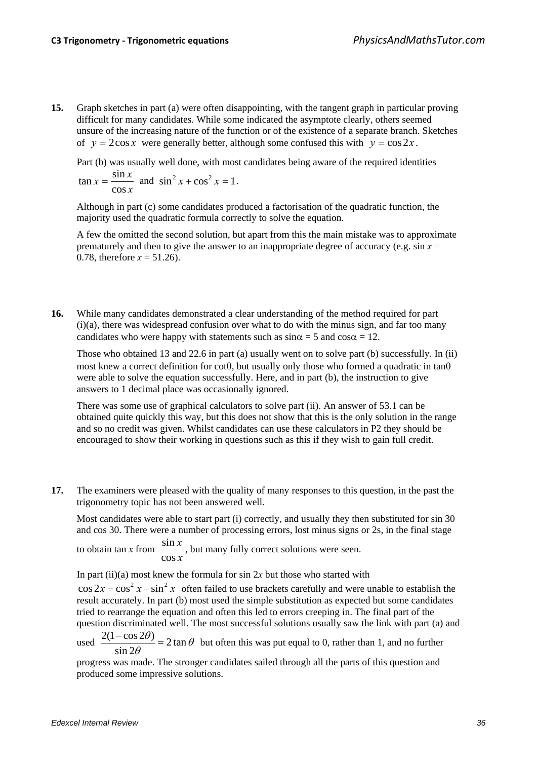**15.** Graph sketches in part (a) were often disappointing, with the tangent graph in particular proving difficult for many candidates. While some indicated the asymptote clearly, others seemed unsure of the increasing nature of the function or of the existence of a separate branch. Sketches of  $y = 2\cos x$  were generally better, although some confused this with  $y = \cos 2x$ .

Part (b) was usually well done, with most candidates being aware of the required identities

$$
\tan x = \frac{\sin x}{\cos x} \text{ and } \sin^2 x + \cos^2 x = 1.
$$

Although in part (c) some candidates produced a factorisation of the quadratic function, the majority used the quadratic formula correctly to solve the equation.

A few the omitted the second solution, but apart from this the main mistake was to approximate prematurely and then to give the answer to an inappropriate degree of accuracy (e.g.  $\sin x =$ 0.78, therefore  $x = 51.26$ .

**16.** While many candidates demonstrated a clear understanding of the method required for part (i)(a), there was widespread confusion over what to do with the minus sign, and far too many candidates who were happy with statements such as  $\sin \alpha = 5$  and  $\cos \alpha = 12$ .

Those who obtained 13 and 22.6 in part (a) usually went on to solve part (b) successfully. In (ii) most knew a correct definition for cotθ, but usually only those who formed a quadratic in tanθ were able to solve the equation successfully. Here, and in part (b), the instruction to give answers to 1 decimal place was occasionally ignored.

There was some use of graphical calculators to solve part (ii). An answer of 53.1 can be obtained quite quickly this way, but this does not show that this is the only solution in the range and so no credit was given. Whilst candidates can use these calculators in P2 they should be encouraged to show their working in questions such as this if they wish to gain full credit.

**17.** The examiners were pleased with the quality of many responses to this question, in the past the trigonometry topic has not been answered well.

Most candidates were able to start part (i) correctly, and usually they then substituted for sin 30 and cos 30. There were a number of processing errors, lost minus signs or 2s, in the final stage

to obtain tan *x* from  $\frac{\sin}{\sin}$ cos *x x* , but many fully correct solutions were seen.

In part (ii)(a) most knew the formula for  $\sin 2x$  but those who started with

 $\cos 2x = \cos^2 x - \sin^2 x$  often failed to use brackets carefully and were unable to establish the result accurately. In part (b) most used the simple substitution as expected but some candidates tried to rearrange the equation and often this led to errors creeping in. The final part of the question discriminated well. The most successful solutions usually saw the link with part (a) and

used  $\frac{2(1-\cos 2\theta)}{2} = 2 \tan \theta$ sin 2  $\frac{\theta}{\theta}$  = 2 tan  $\theta$  $\frac{-\cos 2\theta}{\sin 2\theta}$  = 2 tan  $\theta$  but often this was put equal to 0, rather than 1, and no further

progress was made. The stronger candidates sailed through all the parts of this question and produced some impressive solutions.